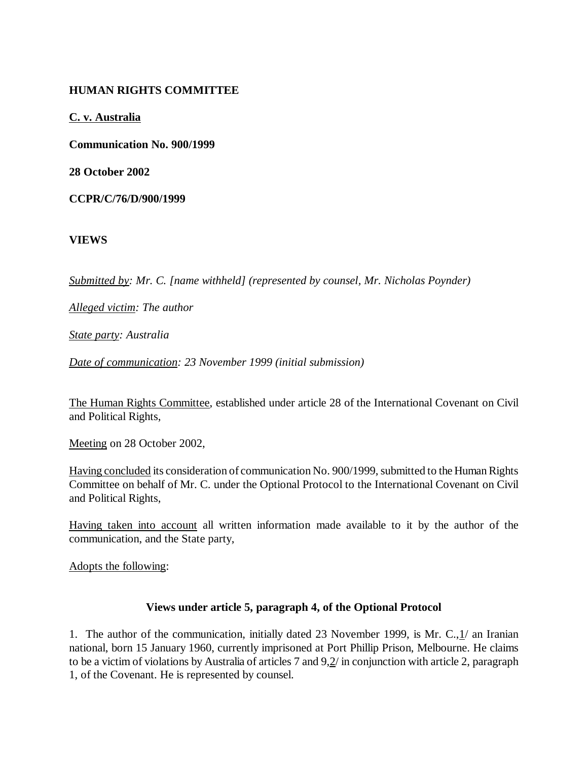### **HUMAN RIGHTS COMMITTEE**

**C. v. Australia**

**Communication No. 900/1999**

**28 October 2002**

**CCPR/C/76/D/900/1999**

#### **VIEWS**

*Submitted by: Mr. C. [name withheld] (represented by counsel, Mr. Nicholas Poynder)*

*Alleged victim: The author* 

*State party: Australia*

*Date of communication: 23 November 1999 (initial submission)*

The Human Rights Committee, established under article 28 of the International Covenant on Civil and Political Rights,

Meeting on 28 October 2002,

Having concluded its consideration of communication No. 900/1999, submitted to the Human Rights Committee on behalf of Mr. C. under the Optional Protocol to the International Covenant on Civil and Political Rights,

Having taken into account all written information made available to it by the author of the communication, and the State party,

Adopts the following:

### **Views under article 5, paragraph 4, of the Optional Protocol**

1. The author of the communication, initially dated 23 November 1999, is Mr. C.,1/ an Iranian national, born 15 January 1960, currently imprisoned at Port Phillip Prison, Melbourne. He claims to be a victim of violations by Australia of articles 7 and 9,2/ in conjunction with article 2, paragraph 1, of the Covenant. He is represented by counsel.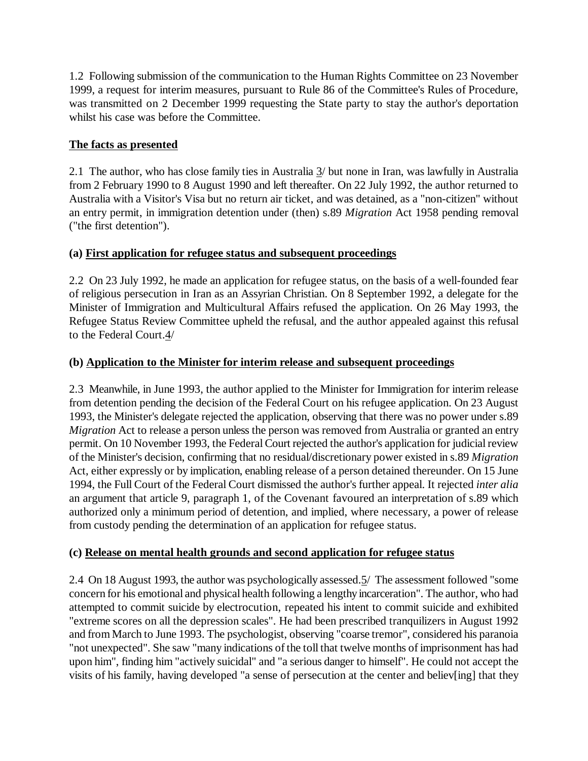1.2 Following submission of the communication to the Human Rights Committee on 23 November 1999, a request for interim measures, pursuant to Rule 86 of the Committee's Rules of Procedure, was transmitted on 2 December 1999 requesting the State party to stay the author's deportation whilst his case was before the Committee.

# **The facts as presented**

2.1 The author, who has close family ties in Australia 3/ but none in Iran, was lawfully in Australia from 2 February 1990 to 8 August 1990 and left thereafter. On 22 July 1992, the author returned to Australia with a Visitor's Visa but no return air ticket, and was detained, as a "non-citizen" without an entry permit, in immigration detention under (then) s.89 *Migration* Act 1958 pending removal ("the first detention").

## **(a) First application for refugee status and subsequent proceedings**

2.2 On 23 July 1992, he made an application for refugee status, on the basis of a well-founded fear of religious persecution in Iran as an Assyrian Christian. On 8 September 1992, a delegate for the Minister of Immigration and Multicultural Affairs refused the application. On 26 May 1993, the Refugee Status Review Committee upheld the refusal, and the author appealed against this refusal to the Federal Court.4/

# **(b) Application to the Minister for interim release and subsequent proceedings**

2.3 Meanwhile, in June 1993, the author applied to the Minister for Immigration for interim release from detention pending the decision of the Federal Court on his refugee application. On 23 August 1993, the Minister's delegate rejected the application, observing that there was no power under s.89 *Migration* Act to release a person unless the person was removed from Australia or granted an entry permit. On 10 November 1993, the Federal Court rejected the author's application for judicial review of the Minister's decision, confirming that no residual/discretionary power existed in s.89 *Migration* Act, either expressly or by implication, enabling release of a person detained thereunder. On 15 June 1994, the Full Court of the Federal Court dismissed the author's further appeal. It rejected *inter alia* an argument that article 9, paragraph 1, of the Covenant favoured an interpretation of s.89 which authorized only a minimum period of detention, and implied, where necessary, a power of release from custody pending the determination of an application for refugee status.

# **(c) Release on mental health grounds and second application for refugee status**

2.4 On 18 August 1993, the author was psychologically assessed.5/ The assessment followed "some concern for his emotional and physical health following a lengthy incarceration". The author, who had attempted to commit suicide by electrocution, repeated his intent to commit suicide and exhibited "extreme scores on all the depression scales". He had been prescribed tranquilizers in August 1992 and from March to June 1993. The psychologist, observing "coarse tremor", considered his paranoia "not unexpected". She saw "many indications of the toll that twelve months of imprisonment has had upon him", finding him "actively suicidal" and "a serious danger to himself". He could not accept the visits of his family, having developed "a sense of persecution at the center and believ[ing] that they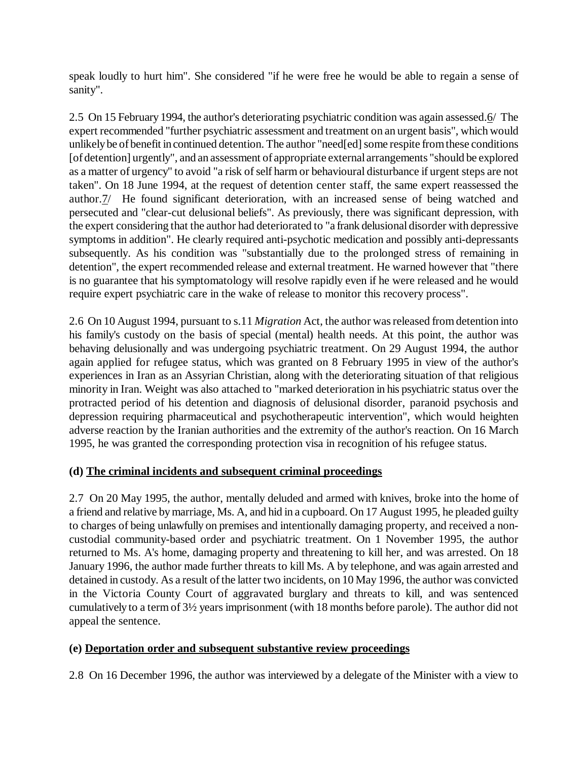speak loudly to hurt him". She considered "if he were free he would be able to regain a sense of sanity".

2.5 On 15 February 1994, the author's deteriorating psychiatric condition was again assessed.6/ The expert recommended "further psychiatric assessment and treatment on an urgent basis", which would unlikely be of benefit in continued detention. The author "need[ed] some respite from these conditions [of detention] urgently", and an assessment of appropriate external arrangements "should be explored as a matter of urgency" to avoid "a risk of self harm or behavioural disturbance if urgent steps are not taken". On 18 June 1994, at the request of detention center staff, the same expert reassessed the author.7/ He found significant deterioration, with an increased sense of being watched and persecuted and "clear-cut delusional beliefs". As previously, there was significant depression, with the expert considering that the author had deteriorated to "a frank delusional disorder with depressive symptoms in addition". He clearly required anti-psychotic medication and possibly anti-depressants subsequently. As his condition was "substantially due to the prolonged stress of remaining in detention", the expert recommended release and external treatment. He warned however that "there is no guarantee that his symptomatology will resolve rapidly even if he were released and he would require expert psychiatric care in the wake of release to monitor this recovery process".

2.6 On 10 August 1994, pursuant to s.11 *Migration* Act, the author was released from detention into his family's custody on the basis of special (mental) health needs. At this point, the author was behaving delusionally and was undergoing psychiatric treatment. On 29 August 1994, the author again applied for refugee status, which was granted on 8 February 1995 in view of the author's experiences in Iran as an Assyrian Christian, along with the deteriorating situation of that religious minority in Iran. Weight was also attached to "marked deterioration in his psychiatric status over the protracted period of his detention and diagnosis of delusional disorder, paranoid psychosis and depression requiring pharmaceutical and psychotherapeutic intervention", which would heighten adverse reaction by the Iranian authorities and the extremity of the author's reaction. On 16 March 1995, he was granted the corresponding protection visa in recognition of his refugee status.

# **(d) The criminal incidents and subsequent criminal proceedings**

2.7 On 20 May 1995, the author, mentally deluded and armed with knives, broke into the home of a friend and relative by marriage, Ms. A, and hid in a cupboard. On 17 August 1995, he pleaded guilty to charges of being unlawfully on premises and intentionally damaging property, and received a noncustodial community-based order and psychiatric treatment. On 1 November 1995, the author returned to Ms. A's home, damaging property and threatening to kill her, and was arrested. On 18 January 1996, the author made further threats to kill Ms. A by telephone, and was again arrested and detained in custody. As a result of the latter two incidents, on 10 May 1996, the author was convicted in the Victoria County Court of aggravated burglary and threats to kill, and was sentenced cumulatively to a term of 3½ years imprisonment (with 18 months before parole). The author did not appeal the sentence.

### **(e) Deportation order and subsequent substantive review proceedings**

2.8 On 16 December 1996, the author was interviewed by a delegate of the Minister with a view to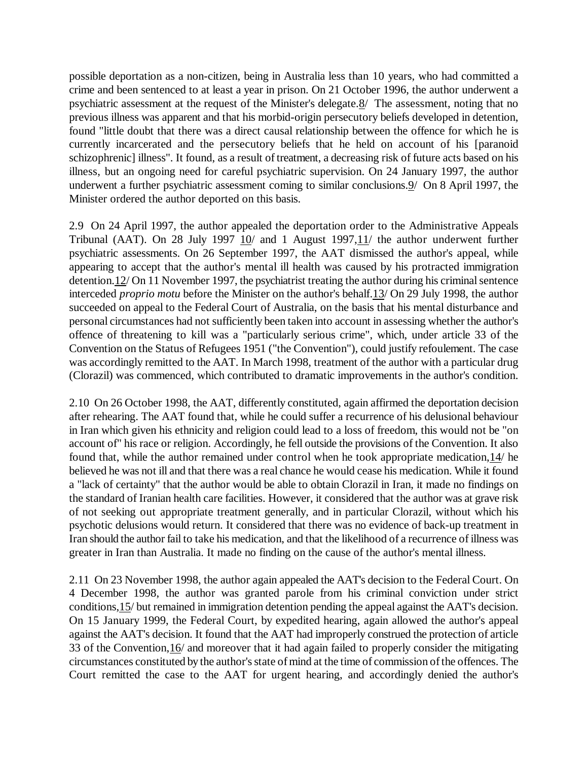possible deportation as a non-citizen, being in Australia less than 10 years, who had committed a crime and been sentenced to at least a year in prison. On 21 October 1996, the author underwent a psychiatric assessment at the request of the Minister's delegate.8/ The assessment, noting that no previous illness was apparent and that his morbid-origin persecutory beliefs developed in detention, found "little doubt that there was a direct causal relationship between the offence for which he is currently incarcerated and the persecutory beliefs that he held on account of his [paranoid schizophrenic] illness". It found, as a result of treatment, a decreasing risk of future acts based on his illness, but an ongoing need for careful psychiatric supervision. On 24 January 1997, the author underwent a further psychiatric assessment coming to similar conclusions.9/ On 8 April 1997, the Minister ordered the author deported on this basis.

2.9 On 24 April 1997, the author appealed the deportation order to the Administrative Appeals Tribunal (AAT). On 28 July 1997 10/ and 1 August 1997,11/ the author underwent further psychiatric assessments. On 26 September 1997, the AAT dismissed the author's appeal, while appearing to accept that the author's mental ill health was caused by his protracted immigration detention.12/ On 11 November 1997, the psychiatrist treating the author during his criminal sentence interceded *proprio motu* before the Minister on the author's behalf.13/ On 29 July 1998, the author succeeded on appeal to the Federal Court of Australia, on the basis that his mental disturbance and personal circumstances had not sufficiently been taken into account in assessing whether the author's offence of threatening to kill was a "particularly serious crime", which, under article 33 of the Convention on the Status of Refugees 1951 ("the Convention"), could justify refoulement. The case was accordingly remitted to the AAT. In March 1998, treatment of the author with a particular drug (Clorazil) was commenced, which contributed to dramatic improvements in the author's condition.

2.10 On 26 October 1998, the AAT, differently constituted, again affirmed the deportation decision after rehearing. The AAT found that, while he could suffer a recurrence of his delusional behaviour in Iran which given his ethnicity and religion could lead to a loss of freedom, this would not be "on account of" his race or religion. Accordingly, he fell outside the provisions of the Convention. It also found that, while the author remained under control when he took appropriate medication,14/ he believed he was not ill and that there was a real chance he would cease his medication. While it found a "lack of certainty" that the author would be able to obtain Clorazil in Iran, it made no findings on the standard of Iranian health care facilities. However, it considered that the author was at grave risk of not seeking out appropriate treatment generally, and in particular Clorazil, without which his psychotic delusions would return. It considered that there was no evidence of back-up treatment in Iran should the author fail to take his medication, and that the likelihood of a recurrence of illness was greater in Iran than Australia. It made no finding on the cause of the author's mental illness.

2.11 On 23 November 1998, the author again appealed the AAT's decision to the Federal Court. On 4 December 1998, the author was granted parole from his criminal conviction under strict conditions,15/ but remained in immigration detention pending the appeal against the AAT's decision. On 15 January 1999, the Federal Court, by expedited hearing, again allowed the author's appeal against the AAT's decision. It found that the AAT had improperly construed the protection of article 33 of the Convention,16/ and moreover that it had again failed to properly consider the mitigating circumstances constituted by the author's state of mind at the time of commission of the offences. The Court remitted the case to the AAT for urgent hearing, and accordingly denied the author's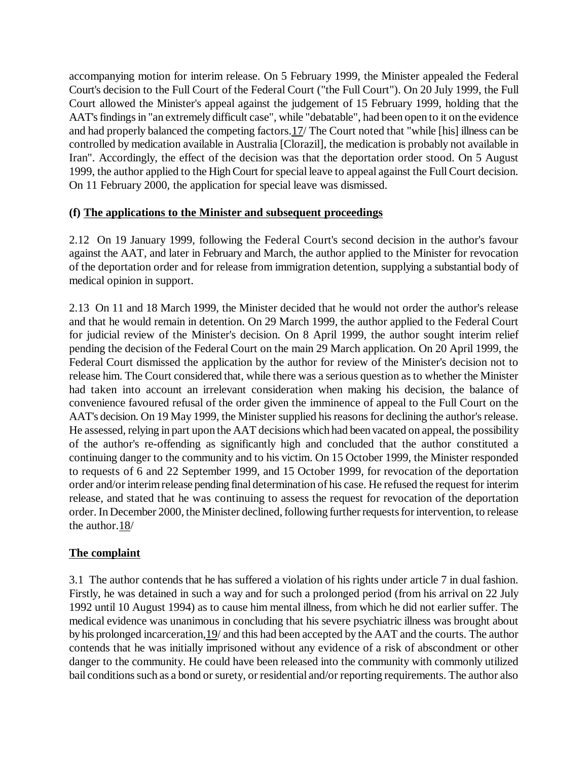accompanying motion for interim release. On 5 February 1999, the Minister appealed the Federal Court's decision to the Full Court of the Federal Court ("the Full Court"). On 20 July 1999, the Full Court allowed the Minister's appeal against the judgement of 15 February 1999, holding that the AAT's findings in "an extremely difficult case", while "debatable", had been open to it on the evidence and had properly balanced the competing factors.17/ The Court noted that "while [his] illness can be controlled by medication available in Australia [Clorazil], the medication is probably not available in Iran". Accordingly, the effect of the decision was that the deportation order stood. On 5 August 1999, the author applied to the High Court for special leave to appeal against the Full Court decision. On 11 February 2000, the application for special leave was dismissed.

### **(f) The applications to the Minister and subsequent proceedings**

2.12 On 19 January 1999, following the Federal Court's second decision in the author's favour against the AAT, and later in February and March, the author applied to the Minister for revocation of the deportation order and for release from immigration detention, supplying a substantial body of medical opinion in support.

2.13 On 11 and 18 March 1999, the Minister decided that he would not order the author's release and that he would remain in detention. On 29 March 1999, the author applied to the Federal Court for judicial review of the Minister's decision. On 8 April 1999, the author sought interim relief pending the decision of the Federal Court on the main 29 March application. On 20 April 1999, the Federal Court dismissed the application by the author for review of the Minister's decision not to release him. The Court considered that, while there was a serious question as to whether the Minister had taken into account an irrelevant consideration when making his decision, the balance of convenience favoured refusal of the order given the imminence of appeal to the Full Court on the AAT's decision. On 19 May 1999, the Minister supplied his reasons for declining the author's release. He assessed, relying in part upon the AAT decisions which had been vacated on appeal, the possibility of the author's re-offending as significantly high and concluded that the author constituted a continuing danger to the community and to his victim. On 15 October 1999, the Minister responded to requests of 6 and 22 September 1999, and 15 October 1999, for revocation of the deportation order and/or interim release pending final determination of his case. He refused the request for interim release, and stated that he was continuing to assess the request for revocation of the deportation order. In December 2000, the Minister declined, following further requests for intervention, to release the author.18/

# **The complaint**

3.1 The author contends that he has suffered a violation of his rights under article 7 in dual fashion. Firstly, he was detained in such a way and for such a prolonged period (from his arrival on 22 July 1992 until 10 August 1994) as to cause him mental illness, from which he did not earlier suffer. The medical evidence was unanimous in concluding that his severe psychiatric illness was brought about by his prolonged incarceration,19/ and this had been accepted by the AAT and the courts. The author contends that he was initially imprisoned without any evidence of a risk of abscondment or other danger to the community. He could have been released into the community with commonly utilized bail conditions such as a bond or surety, or residential and/or reporting requirements. The author also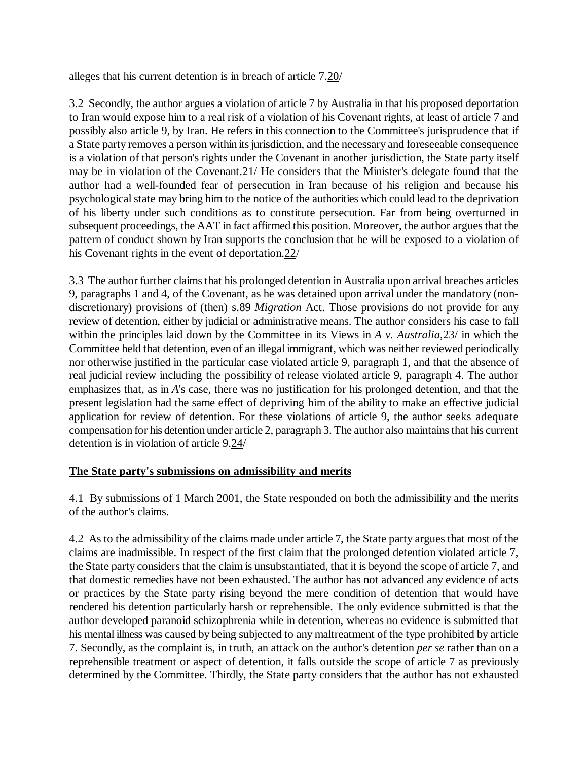alleges that his current detention is in breach of article 7.20/

3.2 Secondly, the author argues a violation of article 7 by Australia in that his proposed deportation to Iran would expose him to a real risk of a violation of his Covenant rights, at least of article 7 and possibly also article 9, by Iran. He refers in this connection to the Committee's jurisprudence that if a State party removes a person within its jurisdiction, and the necessary and foreseeable consequence is a violation of that person's rights under the Covenant in another jurisdiction, the State party itself may be in violation of the Covenant.21/ He considers that the Minister's delegate found that the author had a well-founded fear of persecution in Iran because of his religion and because his psychological state may bring him to the notice of the authorities which could lead to the deprivation of his liberty under such conditions as to constitute persecution. Far from being overturned in subsequent proceedings, the AAT in fact affirmed this position. Moreover, the author argues that the pattern of conduct shown by Iran supports the conclusion that he will be exposed to a violation of his Covenant rights in the event of deportation.22/

3.3 The author further claims that his prolonged detention in Australia upon arrival breaches articles 9, paragraphs 1 and 4, of the Covenant, as he was detained upon arrival under the mandatory (nondiscretionary) provisions of (then) s.89 *Migration* Act. Those provisions do not provide for any review of detention, either by judicial or administrative means. The author considers his case to fall within the principles laid down by the Committee in its Views in *A v. Australia*,23/ in which the Committee held that detention, even of an illegal immigrant, which was neither reviewed periodically nor otherwise justified in the particular case violated article 9, paragraph 1, and that the absence of real judicial review including the possibility of release violated article 9, paragraph 4. The author emphasizes that, as in *A*'s case, there was no justification for his prolonged detention, and that the present legislation had the same effect of depriving him of the ability to make an effective judicial application for review of detention. For these violations of article 9, the author seeks adequate compensation for his detention under article 2, paragraph 3. The author also maintains that his current detention is in violation of article 9.24/

### **The State party's submissions on admissibility and merits**

4.1 By submissions of 1 March 2001, the State responded on both the admissibility and the merits of the author's claims.

4.2 As to the admissibility of the claims made under article 7, the State party argues that most of the claims are inadmissible. In respect of the first claim that the prolonged detention violated article 7, the State party considers that the claim is unsubstantiated, that it is beyond the scope of article 7, and that domestic remedies have not been exhausted. The author has not advanced any evidence of acts or practices by the State party rising beyond the mere condition of detention that would have rendered his detention particularly harsh or reprehensible. The only evidence submitted is that the author developed paranoid schizophrenia while in detention, whereas no evidence is submitted that his mental illness was caused by being subjected to any maltreatment of the type prohibited by article 7. Secondly, as the complaint is, in truth, an attack on the author's detention *per se* rather than on a reprehensible treatment or aspect of detention, it falls outside the scope of article 7 as previously determined by the Committee. Thirdly, the State party considers that the author has not exhausted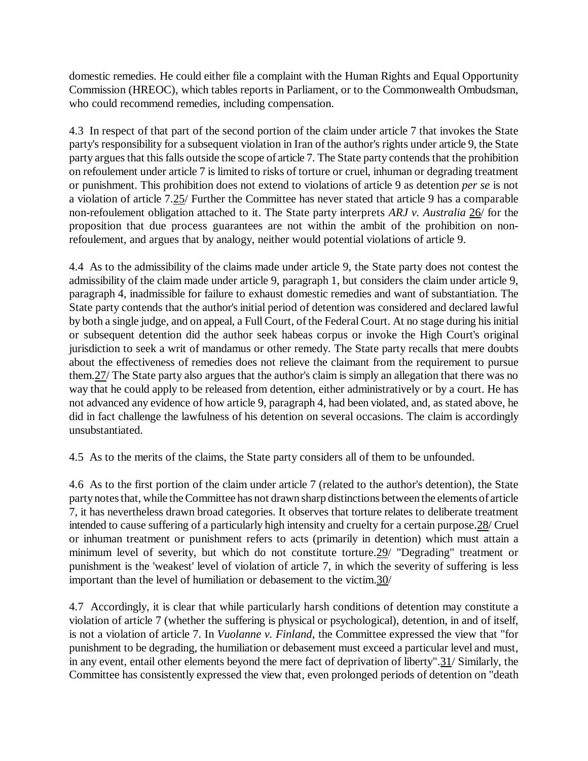domestic remedies. He could either file a complaint with the Human Rights and Equal Opportunity Commission (HREOC), which tables reports in Parliament, or to the Commonwealth Ombudsman, who could recommend remedies, including compensation.

4.3 In respect of that part of the second portion of the claim under article 7 that invokes the State party's responsibility for a subsequent violation in Iran of the author's rights under article 9, the State party argues that this falls outside the scope of article 7. The State party contends that the prohibition on refoulement under article 7 is limited to risks of torture or cruel, inhuman or degrading treatment or punishment. This prohibition does not extend to violations of article 9 as detention *per se* is not a violation of article 7.25/ Further the Committee has never stated that article 9 has a comparable non-refoulement obligation attached to it. The State party interprets *ARJ v. Australia* 26/ for the proposition that due process guarantees are not within the ambit of the prohibition on nonrefoulement, and argues that by analogy, neither would potential violations of article 9.

4.4 As to the admissibility of the claims made under article 9, the State party does not contest the admissibility of the claim made under article 9, paragraph 1, but considers the claim under article 9, paragraph 4, inadmissible for failure to exhaust domestic remedies and want of substantiation. The State party contends that the author's initial period of detention was considered and declared lawful by both a single judge, and on appeal, a Full Court, of the Federal Court. At no stage during his initial or subsequent detention did the author seek habeas corpus or invoke the High Court's original jurisdiction to seek a writ of mandamus or other remedy. The State party recalls that mere doubts about the effectiveness of remedies does not relieve the claimant from the requirement to pursue them.27/ The State party also argues that the author's claim is simply an allegation that there was no way that he could apply to be released from detention, either administratively or by a court. He has not advanced any evidence of how article 9, paragraph 4, had been violated, and, as stated above, he did in fact challenge the lawfulness of his detention on several occasions. The claim is accordingly unsubstantiated.

4.5 As to the merits of the claims, the State party considers all of them to be unfounded.

4.6 As to the first portion of the claim under article 7 (related to the author's detention), the State party notes that, while the Committee has not drawn sharp distinctions between the elements of article 7, it has nevertheless drawn broad categories. It observes that torture relates to deliberate treatment intended to cause suffering of a particularly high intensity and cruelty for a certain purpose.28/ Cruel or inhuman treatment or punishment refers to acts (primarily in detention) which must attain a minimum level of severity, but which do not constitute torture.29/ "Degrading" treatment or punishment is the 'weakest' level of violation of article 7, in which the severity of suffering is less important than the level of humiliation or debasement to the victim.30/

4.7 Accordingly, it is clear that while particularly harsh conditions of detention may constitute a violation of article 7 (whether the suffering is physical or psychological), detention, in and of itself, is not a violation of article 7. In *Vuolanne v. Finland*, the Committee expressed the view that "for punishment to be degrading, the humiliation or debasement must exceed a particular level and must, in any event, entail other elements beyond the mere fact of deprivation of liberty".31/ Similarly, the Committee has consistently expressed the view that, even prolonged periods of detention on "death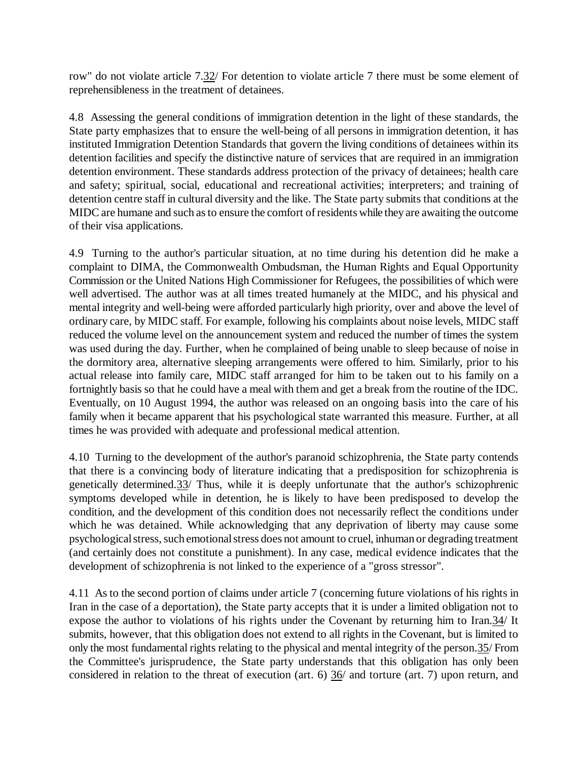row" do not violate article 7.32/ For detention to violate article 7 there must be some element of reprehensibleness in the treatment of detainees.

4.8 Assessing the general conditions of immigration detention in the light of these standards, the State party emphasizes that to ensure the well-being of all persons in immigration detention, it has instituted Immigration Detention Standards that govern the living conditions of detainees within its detention facilities and specify the distinctive nature of services that are required in an immigration detention environment. These standards address protection of the privacy of detainees; health care and safety; spiritual, social, educational and recreational activities; interpreters; and training of detention centre staff in cultural diversity and the like. The State party submits that conditions at the MIDC are humane and such as to ensure the comfort of residents while they are awaiting the outcome of their visa applications.

4.9 Turning to the author's particular situation, at no time during his detention did he make a complaint to DIMA, the Commonwealth Ombudsman, the Human Rights and Equal Opportunity Commission or the United Nations High Commissioner for Refugees, the possibilities of which were well advertised. The author was at all times treated humanely at the MIDC, and his physical and mental integrity and well-being were afforded particularly high priority, over and above the level of ordinary care, by MIDC staff. For example, following his complaints about noise levels, MIDC staff reduced the volume level on the announcement system and reduced the number of times the system was used during the day. Further, when he complained of being unable to sleep because of noise in the dormitory area, alternative sleeping arrangements were offered to him. Similarly, prior to his actual release into family care, MIDC staff arranged for him to be taken out to his family on a fortnightly basis so that he could have a meal with them and get a break from the routine of the IDC. Eventually, on 10 August 1994, the author was released on an ongoing basis into the care of his family when it became apparent that his psychological state warranted this measure. Further, at all times he was provided with adequate and professional medical attention.

4.10 Turning to the development of the author's paranoid schizophrenia, the State party contends that there is a convincing body of literature indicating that a predisposition for schizophrenia is genetically determined.33/ Thus, while it is deeply unfortunate that the author's schizophrenic symptoms developed while in detention, he is likely to have been predisposed to develop the condition, and the development of this condition does not necessarily reflect the conditions under which he was detained. While acknowledging that any deprivation of liberty may cause some psychological stress, such emotional stress does not amount to cruel, inhuman or degrading treatment (and certainly does not constitute a punishment). In any case, medical evidence indicates that the development of schizophrenia is not linked to the experience of a "gross stressor".

4.11 As to the second portion of claims under article 7 (concerning future violations of his rights in Iran in the case of a deportation), the State party accepts that it is under a limited obligation not to expose the author to violations of his rights under the Covenant by returning him to Iran.34/ It submits, however, that this obligation does not extend to all rights in the Covenant, but is limited to only the most fundamental rights relating to the physical and mental integrity of the person.35/ From the Committee's jurisprudence, the State party understands that this obligation has only been considered in relation to the threat of execution (art. 6) 36/ and torture (art. 7) upon return, and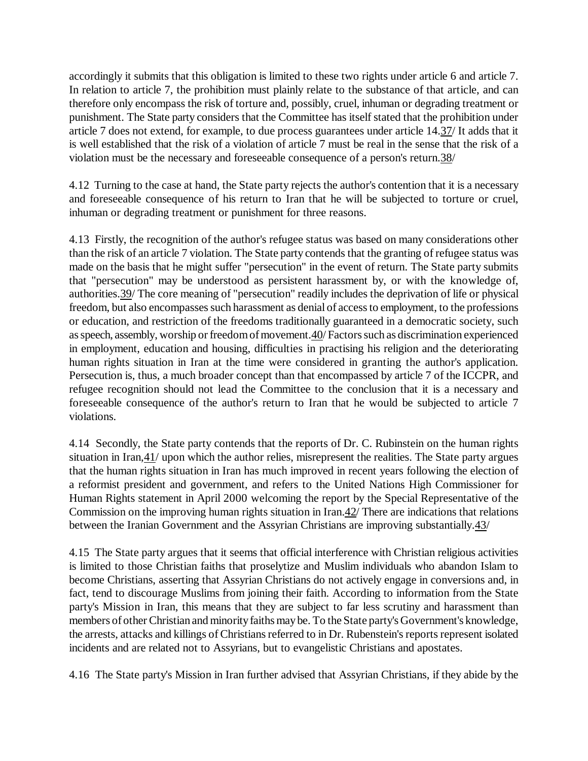accordingly it submits that this obligation is limited to these two rights under article 6 and article 7. In relation to article 7, the prohibition must plainly relate to the substance of that article, and can therefore only encompass the risk of torture and, possibly, cruel, inhuman or degrading treatment or punishment. The State party considers that the Committee has itself stated that the prohibition under article 7 does not extend, for example, to due process guarantees under article 14.37/ It adds that it is well established that the risk of a violation of article 7 must be real in the sense that the risk of a violation must be the necessary and foreseeable consequence of a person's return.38/

4.12 Turning to the case at hand, the State party rejects the author's contention that it is a necessary and foreseeable consequence of his return to Iran that he will be subjected to torture or cruel, inhuman or degrading treatment or punishment for three reasons.

4.13 Firstly, the recognition of the author's refugee status was based on many considerations other than the risk of an article 7 violation. The State party contends that the granting of refugee status was made on the basis that he might suffer "persecution" in the event of return. The State party submits that "persecution" may be understood as persistent harassment by, or with the knowledge of, authorities.39/ The core meaning of "persecution" readily includes the deprivation of life or physical freedom, but also encompasses such harassment as denial of access to employment, to the professions or education, and restriction of the freedoms traditionally guaranteed in a democratic society, such as speech, assembly, worship or freedom of movement.40/ Factors such as discrimination experienced in employment, education and housing, difficulties in practising his religion and the deteriorating human rights situation in Iran at the time were considered in granting the author's application. Persecution is, thus, a much broader concept than that encompassed by article 7 of the ICCPR, and refugee recognition should not lead the Committee to the conclusion that it is a necessary and foreseeable consequence of the author's return to Iran that he would be subjected to article 7 violations.

4.14 Secondly, the State party contends that the reports of Dr. C. Rubinstein on the human rights situation in Iran,41/ upon which the author relies, misrepresent the realities. The State party argues that the human rights situation in Iran has much improved in recent years following the election of a reformist president and government, and refers to the United Nations High Commissioner for Human Rights statement in April 2000 welcoming the report by the Special Representative of the Commission on the improving human rights situation in Iran.42/ There are indications that relations between the Iranian Government and the Assyrian Christians are improving substantially.43/

4.15 The State party argues that it seems that official interference with Christian religious activities is limited to those Christian faiths that proselytize and Muslim individuals who abandon Islam to become Christians, asserting that Assyrian Christians do not actively engage in conversions and, in fact, tend to discourage Muslims from joining their faith. According to information from the State party's Mission in Iran, this means that they are subject to far less scrutiny and harassment than members of other Christian and minority faiths may be. To the State party's Government's knowledge, the arrests, attacks and killings of Christians referred to in Dr. Rubenstein's reports represent isolated incidents and are related not to Assyrians, but to evangelistic Christians and apostates.

4.16 The State party's Mission in Iran further advised that Assyrian Christians, if they abide by the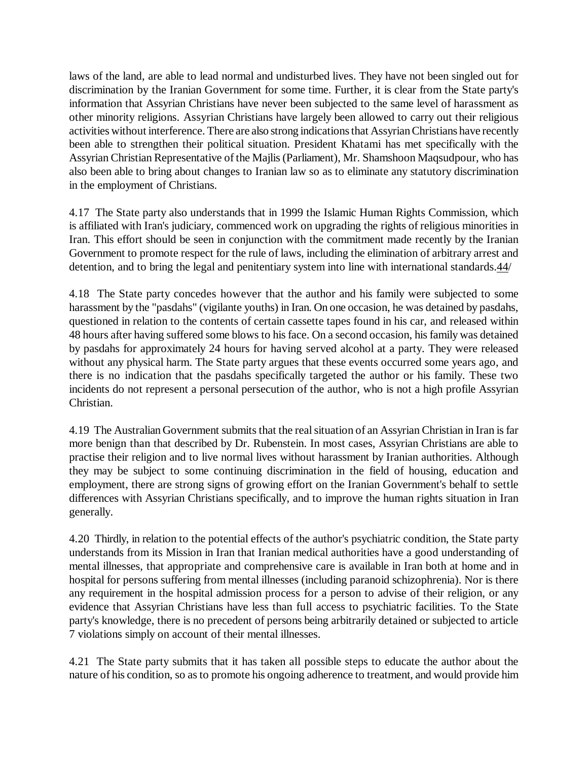laws of the land, are able to lead normal and undisturbed lives. They have not been singled out for discrimination by the Iranian Government for some time. Further, it is clear from the State party's information that Assyrian Christians have never been subjected to the same level of harassment as other minority religions. Assyrian Christians have largely been allowed to carry out their religious activities without interference. There are also strong indications that Assyrian Christians have recently been able to strengthen their political situation. President Khatami has met specifically with the Assyrian Christian Representative of the Majlis (Parliament), Mr. Shamshoon Maqsudpour, who has also been able to bring about changes to Iranian law so as to eliminate any statutory discrimination in the employment of Christians.

4.17 The State party also understands that in 1999 the Islamic Human Rights Commission, which is affiliated with Iran's judiciary, commenced work on upgrading the rights of religious minorities in Iran. This effort should be seen in conjunction with the commitment made recently by the Iranian Government to promote respect for the rule of laws, including the elimination of arbitrary arrest and detention, and to bring the legal and penitentiary system into line with international standards.44/

4.18 The State party concedes however that the author and his family were subjected to some harassment by the "pasdahs" (vigilante youths) in Iran. On one occasion, he was detained by pasdahs, questioned in relation to the contents of certain cassette tapes found in his car, and released within 48 hours after having suffered some blows to his face. On a second occasion, his family was detained by pasdahs for approximately 24 hours for having served alcohol at a party. They were released without any physical harm. The State party argues that these events occurred some years ago, and there is no indication that the pasdahs specifically targeted the author or his family. These two incidents do not represent a personal persecution of the author, who is not a high profile Assyrian Christian.

4.19 The Australian Government submits that the real situation of an Assyrian Christian in Iran is far more benign than that described by Dr. Rubenstein. In most cases, Assyrian Christians are able to practise their religion and to live normal lives without harassment by Iranian authorities. Although they may be subject to some continuing discrimination in the field of housing, education and employment, there are strong signs of growing effort on the Iranian Government's behalf to settle differences with Assyrian Christians specifically, and to improve the human rights situation in Iran generally.

4.20 Thirdly, in relation to the potential effects of the author's psychiatric condition, the State party understands from its Mission in Iran that Iranian medical authorities have a good understanding of mental illnesses, that appropriate and comprehensive care is available in Iran both at home and in hospital for persons suffering from mental illnesses (including paranoid schizophrenia). Nor is there any requirement in the hospital admission process for a person to advise of their religion, or any evidence that Assyrian Christians have less than full access to psychiatric facilities. To the State party's knowledge, there is no precedent of persons being arbitrarily detained or subjected to article 7 violations simply on account of their mental illnesses.

4.21 The State party submits that it has taken all possible steps to educate the author about the nature of his condition, so as to promote his ongoing adherence to treatment, and would provide him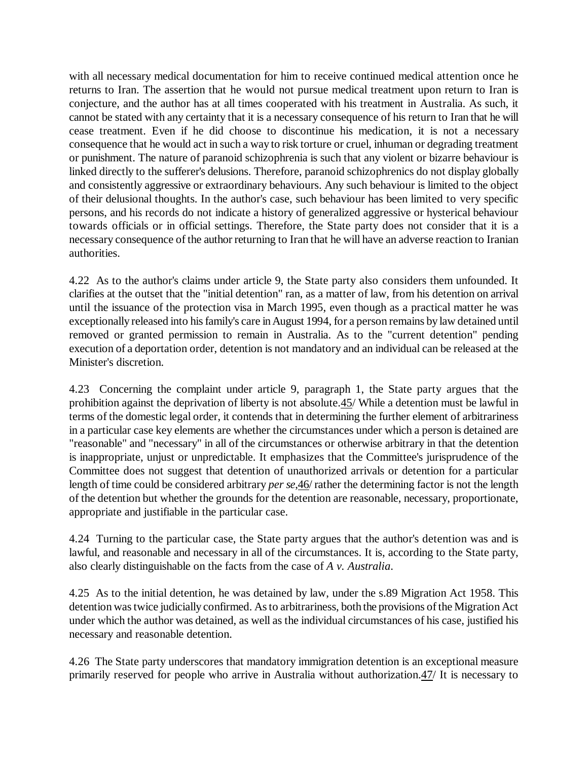with all necessary medical documentation for him to receive continued medical attention once he returns to Iran. The assertion that he would not pursue medical treatment upon return to Iran is conjecture, and the author has at all times cooperated with his treatment in Australia. As such, it cannot be stated with any certainty that it is a necessary consequence of his return to Iran that he will cease treatment. Even if he did choose to discontinue his medication, it is not a necessary consequence that he would act in such a way to risk torture or cruel, inhuman or degrading treatment or punishment. The nature of paranoid schizophrenia is such that any violent or bizarre behaviour is linked directly to the sufferer's delusions. Therefore, paranoid schizophrenics do not display globally and consistently aggressive or extraordinary behaviours. Any such behaviour is limited to the object of their delusional thoughts. In the author's case, such behaviour has been limited to very specific persons, and his records do not indicate a history of generalized aggressive or hysterical behaviour towards officials or in official settings. Therefore, the State party does not consider that it is a necessary consequence of the author returning to Iran that he will have an adverse reaction to Iranian authorities.

4.22 As to the author's claims under article 9, the State party also considers them unfounded. It clarifies at the outset that the "initial detention" ran, as a matter of law, from his detention on arrival until the issuance of the protection visa in March 1995, even though as a practical matter he was exceptionally released into his family's care in August 1994, for a person remains by law detained until removed or granted permission to remain in Australia. As to the "current detention" pending execution of a deportation order, detention is not mandatory and an individual can be released at the Minister's discretion.

4.23 Concerning the complaint under article 9, paragraph 1, the State party argues that the prohibition against the deprivation of liberty is not absolute.45/ While a detention must be lawful in terms of the domestic legal order, it contends that in determining the further element of arbitrariness in a particular case key elements are whether the circumstances under which a person is detained are "reasonable" and "necessary" in all of the circumstances or otherwise arbitrary in that the detention is inappropriate, unjust or unpredictable. It emphasizes that the Committee's jurisprudence of the Committee does not suggest that detention of unauthorized arrivals or detention for a particular length of time could be considered arbitrary *per se*,46/ rather the determining factor is not the length of the detention but whether the grounds for the detention are reasonable, necessary, proportionate, appropriate and justifiable in the particular case.

4.24 Turning to the particular case, the State party argues that the author's detention was and is lawful, and reasonable and necessary in all of the circumstances. It is, according to the State party, also clearly distinguishable on the facts from the case of *A v. Australia*.

4.25 As to the initial detention, he was detained by law, under the s.89 Migration Act 1958. This detention was twice judicially confirmed. As to arbitrariness, both the provisions of the Migration Act under which the author was detained, as well as the individual circumstances of his case, justified his necessary and reasonable detention.

4.26 The State party underscores that mandatory immigration detention is an exceptional measure primarily reserved for people who arrive in Australia without authorization.47/ It is necessary to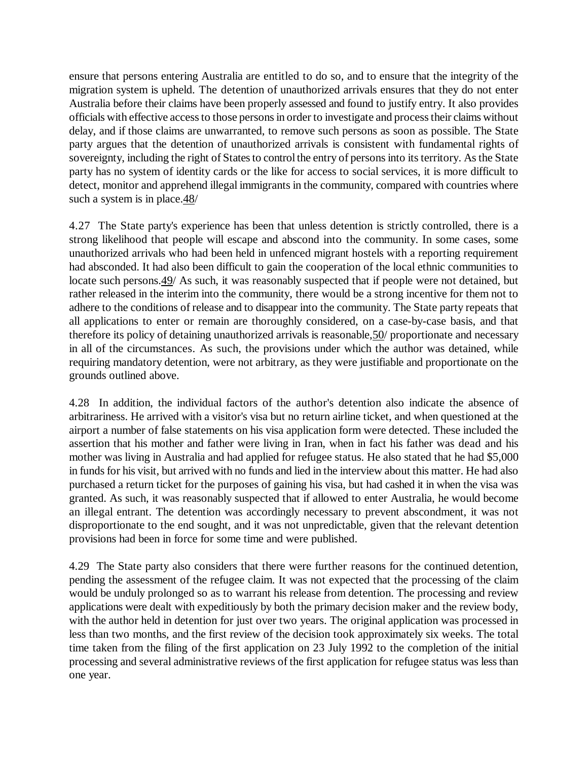ensure that persons entering Australia are entitled to do so, and to ensure that the integrity of the migration system is upheld. The detention of unauthorized arrivals ensures that they do not enter Australia before their claims have been properly assessed and found to justify entry. It also provides officials with effective access to those persons in order to investigate and process their claims without delay, and if those claims are unwarranted, to remove such persons as soon as possible. The State party argues that the detention of unauthorized arrivals is consistent with fundamental rights of sovereignty, including the right of States to control the entry of persons into its territory. As the State party has no system of identity cards or the like for access to social services, it is more difficult to detect, monitor and apprehend illegal immigrants in the community, compared with countries where such a system is in place.  $48/$ 

4.27 The State party's experience has been that unless detention is strictly controlled, there is a strong likelihood that people will escape and abscond into the community. In some cases, some unauthorized arrivals who had been held in unfenced migrant hostels with a reporting requirement had absconded. It had also been difficult to gain the cooperation of the local ethnic communities to locate such persons.49/ As such, it was reasonably suspected that if people were not detained, but rather released in the interim into the community, there would be a strong incentive for them not to adhere to the conditions of release and to disappear into the community. The State party repeats that all applications to enter or remain are thoroughly considered, on a case-by-case basis, and that therefore its policy of detaining unauthorized arrivals is reasonable,50/ proportionate and necessary in all of the circumstances. As such, the provisions under which the author was detained, while requiring mandatory detention, were not arbitrary, as they were justifiable and proportionate on the grounds outlined above.

4.28 In addition, the individual factors of the author's detention also indicate the absence of arbitrariness. He arrived with a visitor's visa but no return airline ticket, and when questioned at the airport a number of false statements on his visa application form were detected. These included the assertion that his mother and father were living in Iran, when in fact his father was dead and his mother was living in Australia and had applied for refugee status. He also stated that he had \$5,000 in funds for his visit, but arrived with no funds and lied in the interview about this matter. He had also purchased a return ticket for the purposes of gaining his visa, but had cashed it in when the visa was granted. As such, it was reasonably suspected that if allowed to enter Australia, he would become an illegal entrant. The detention was accordingly necessary to prevent abscondment, it was not disproportionate to the end sought, and it was not unpredictable, given that the relevant detention provisions had been in force for some time and were published.

4.29 The State party also considers that there were further reasons for the continued detention, pending the assessment of the refugee claim. It was not expected that the processing of the claim would be unduly prolonged so as to warrant his release from detention. The processing and review applications were dealt with expeditiously by both the primary decision maker and the review body, with the author held in detention for just over two years. The original application was processed in less than two months, and the first review of the decision took approximately six weeks. The total time taken from the filing of the first application on 23 July 1992 to the completion of the initial processing and several administrative reviews of the first application for refugee status was less than one year.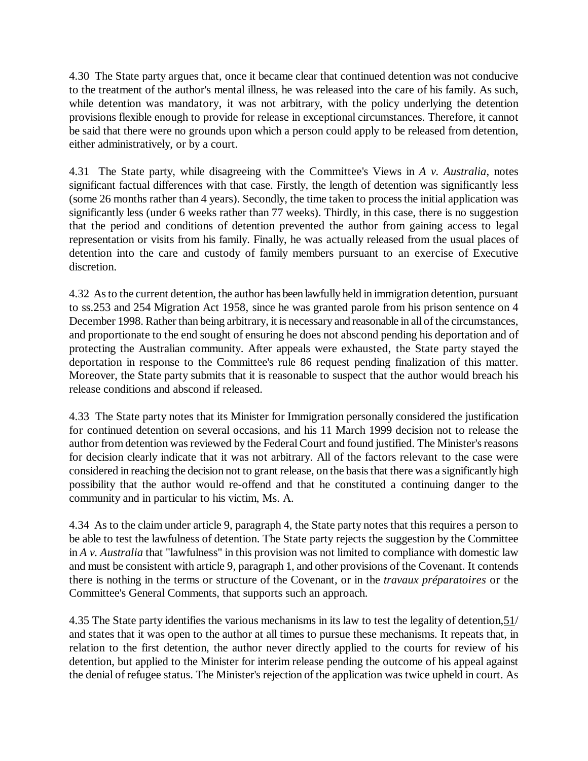4.30 The State party argues that, once it became clear that continued detention was not conducive to the treatment of the author's mental illness, he was released into the care of his family. As such, while detention was mandatory, it was not arbitrary, with the policy underlying the detention provisions flexible enough to provide for release in exceptional circumstances. Therefore, it cannot be said that there were no grounds upon which a person could apply to be released from detention, either administratively, or by a court.

4.31 The State party, while disagreeing with the Committee's Views in *A v. Australia*, notes significant factual differences with that case. Firstly, the length of detention was significantly less (some 26 months rather than 4 years). Secondly, the time taken to process the initial application was significantly less (under 6 weeks rather than 77 weeks). Thirdly, in this case, there is no suggestion that the period and conditions of detention prevented the author from gaining access to legal representation or visits from his family. Finally, he was actually released from the usual places of detention into the care and custody of family members pursuant to an exercise of Executive discretion.

4.32 As to the current detention, the author has been lawfully held in immigration detention, pursuant to ss.253 and 254 Migration Act 1958, since he was granted parole from his prison sentence on 4 December 1998. Rather than being arbitrary, it is necessary and reasonable in all of the circumstances, and proportionate to the end sought of ensuring he does not abscond pending his deportation and of protecting the Australian community. After appeals were exhausted, the State party stayed the deportation in response to the Committee's rule 86 request pending finalization of this matter. Moreover, the State party submits that it is reasonable to suspect that the author would breach his release conditions and abscond if released.

4.33 The State party notes that its Minister for Immigration personally considered the justification for continued detention on several occasions, and his 11 March 1999 decision not to release the author from detention was reviewed by the Federal Court and found justified. The Minister's reasons for decision clearly indicate that it was not arbitrary. All of the factors relevant to the case were considered in reaching the decision not to grant release, on the basis that there was a significantly high possibility that the author would re-offend and that he constituted a continuing danger to the community and in particular to his victim, Ms. A.

4.34 As to the claim under article 9, paragraph 4, the State party notes that this requires a person to be able to test the lawfulness of detention. The State party rejects the suggestion by the Committee in *A v. Australia* that "lawfulness" in this provision was not limited to compliance with domestic law and must be consistent with article 9, paragraph 1, and other provisions of the Covenant. It contends there is nothing in the terms or structure of the Covenant, or in the *travaux préparatoires* or the Committee's General Comments, that supports such an approach.

4.35 The State party identifies the various mechanisms in its law to test the legality of detention,51/ and states that it was open to the author at all times to pursue these mechanisms. It repeats that, in relation to the first detention, the author never directly applied to the courts for review of his detention, but applied to the Minister for interim release pending the outcome of his appeal against the denial of refugee status. The Minister's rejection of the application was twice upheld in court. As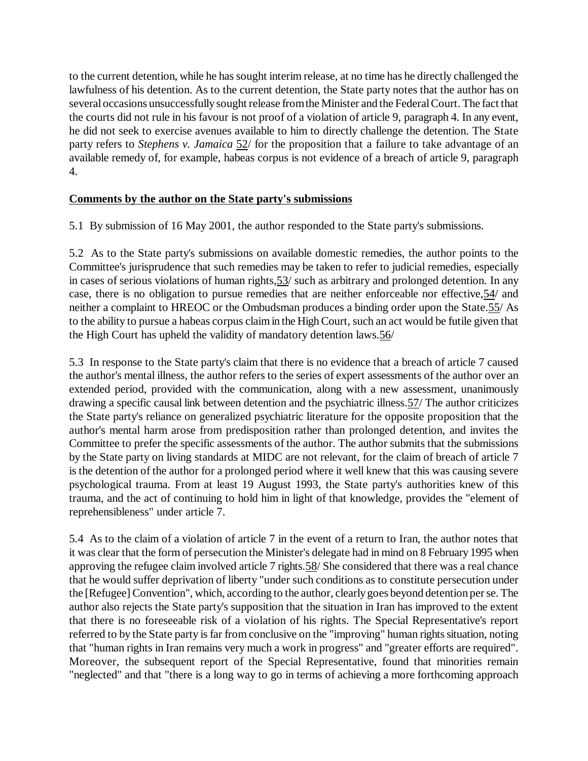to the current detention, while he has sought interim release, at no time has he directly challenged the lawfulness of his detention. As to the current detention, the State party notes that the author has on several occasions unsuccessfully sought release from the Minister and the Federal Court. The fact that the courts did not rule in his favour is not proof of a violation of article 9, paragraph 4. In any event, he did not seek to exercise avenues available to him to directly challenge the detention. The State party refers to *Stephens v. Jamaica* 52/ for the proposition that a failure to take advantage of an available remedy of, for example, habeas corpus is not evidence of a breach of article 9, paragraph 4.

### **Comments by the author on the State party's submissions**

5.1 By submission of 16 May 2001, the author responded to the State party's submissions.

5.2 As to the State party's submissions on available domestic remedies, the author points to the Committee's jurisprudence that such remedies may be taken to refer to judicial remedies, especially in cases of serious violations of human rights,53/ such as arbitrary and prolonged detention. In any case, there is no obligation to pursue remedies that are neither enforceable nor effective,54/ and neither a complaint to HREOC or the Ombudsman produces a binding order upon the State.55/ As to the ability to pursue a habeas corpus claim in the High Court, such an act would be futile given that the High Court has upheld the validity of mandatory detention laws.56/

5.3 In response to the State party's claim that there is no evidence that a breach of article 7 caused the author's mental illness, the author refers to the series of expert assessments of the author over an extended period, provided with the communication, along with a new assessment, unanimously drawing a specific causal link between detention and the psychiatric illness.57/ The author criticizes the State party's reliance on generalized psychiatric literature for the opposite proposition that the author's mental harm arose from predisposition rather than prolonged detention, and invites the Committee to prefer the specific assessments of the author. The author submits that the submissions by the State party on living standards at MIDC are not relevant, for the claim of breach of article 7 is the detention of the author for a prolonged period where it well knew that this was causing severe psychological trauma. From at least 19 August 1993, the State party's authorities knew of this trauma, and the act of continuing to hold him in light of that knowledge, provides the "element of reprehensibleness" under article 7.

5.4 As to the claim of a violation of article 7 in the event of a return to Iran, the author notes that it was clear that the form of persecution the Minister's delegate had in mind on 8 February 1995 when approving the refugee claim involved article 7 rights.58/ She considered that there was a real chance that he would suffer deprivation of liberty "under such conditions as to constitute persecution under the [Refugee] Convention", which, according to the author, clearly goes beyond detention per se. The author also rejects the State party's supposition that the situation in Iran has improved to the extent that there is no foreseeable risk of a violation of his rights. The Special Representative's report referred to by the State party is far from conclusive on the "improving" human rights situation, noting that "human rights in Iran remains very much a work in progress" and "greater efforts are required". Moreover, the subsequent report of the Special Representative, found that minorities remain "neglected" and that "there is a long way to go in terms of achieving a more forthcoming approach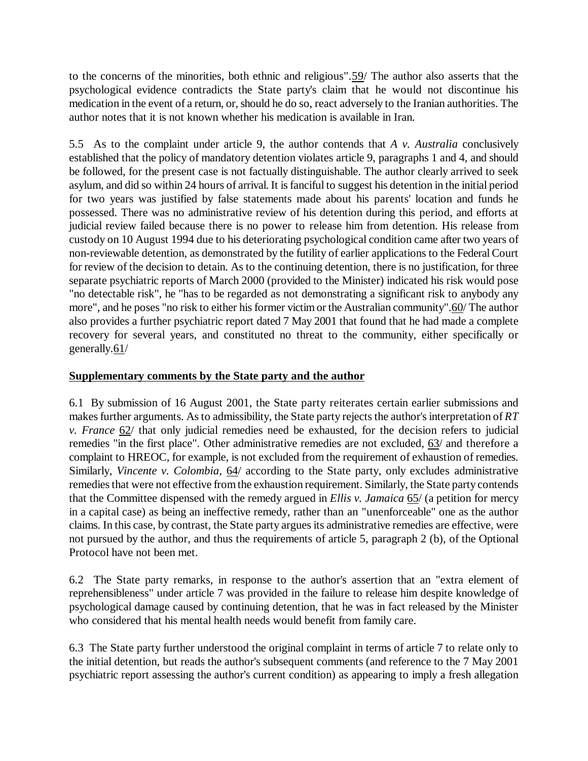to the concerns of the minorities, both ethnic and religious".59/ The author also asserts that the psychological evidence contradicts the State party's claim that he would not discontinue his medication in the event of a return, or, should he do so, react adversely to the Iranian authorities. The author notes that it is not known whether his medication is available in Iran.

5.5 As to the complaint under article 9, the author contends that *A v. Australia* conclusively established that the policy of mandatory detention violates article 9, paragraphs 1 and 4, and should be followed, for the present case is not factually distinguishable. The author clearly arrived to seek asylum, and did so within 24 hours of arrival. It is fanciful to suggest his detention in the initial period for two years was justified by false statements made about his parents' location and funds he possessed. There was no administrative review of his detention during this period, and efforts at judicial review failed because there is no power to release him from detention. His release from custody on 10 August 1994 due to his deteriorating psychological condition came after two years of non-reviewable detention, as demonstrated by the futility of earlier applications to the Federal Court for review of the decision to detain. As to the continuing detention, there is no justification, for three separate psychiatric reports of March 2000 (provided to the Minister) indicated his risk would pose "no detectable risk", he "has to be regarded as not demonstrating a significant risk to anybody any more", and he poses "no risk to either his former victim or the Australian community".60/ The author also provides a further psychiatric report dated 7 May 2001 that found that he had made a complete recovery for several years, and constituted no threat to the community, either specifically or generally.61/

#### **Supplementary comments by the State party and the author**

6.1 By submission of 16 August 2001, the State party reiterates certain earlier submissions and makes further arguments. As to admissibility, the State party rejects the author's interpretation of *RT v. France* 62/ that only judicial remedies need be exhausted, for the decision refers to judicial remedies "in the first place". Other administrative remedies are not excluded, 63/ and therefore a complaint to HREOC, for example, is not excluded from the requirement of exhaustion of remedies. Similarly, *Vincente v. Colombia*, 64/ according to the State party, only excludes administrative remedies that were not effective from the exhaustion requirement. Similarly, the State party contends that the Committee dispensed with the remedy argued in *Ellis v. Jamaica* 65/ (a petition for mercy in a capital case) as being an ineffective remedy, rather than an "unenforceable" one as the author claims. In this case, by contrast, the State party argues its administrative remedies are effective, were not pursued by the author, and thus the requirements of article 5, paragraph 2 (b), of the Optional Protocol have not been met.

6.2 The State party remarks, in response to the author's assertion that an "extra element of reprehensibleness" under article 7 was provided in the failure to release him despite knowledge of psychological damage caused by continuing detention, that he was in fact released by the Minister who considered that his mental health needs would benefit from family care.

6.3 The State party further understood the original complaint in terms of article 7 to relate only to the initial detention, but reads the author's subsequent comments (and reference to the 7 May 2001 psychiatric report assessing the author's current condition) as appearing to imply a fresh allegation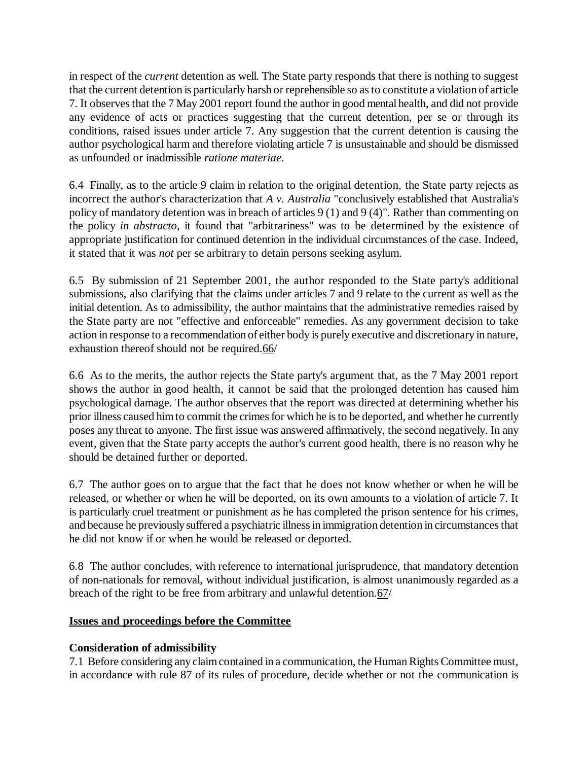in respect of the *current* detention as well. The State party responds that there is nothing to suggest that the current detention is particularly harsh or reprehensible so as to constitute a violation of article 7. It observes that the 7 May 2001 report found the author in good mental health, and did not provide any evidence of acts or practices suggesting that the current detention, per se or through its conditions, raised issues under article 7. Any suggestion that the current detention is causing the author psychological harm and therefore violating article 7 is unsustainable and should be dismissed as unfounded or inadmissible *ratione materiae*.

6.4 Finally, as to the article 9 claim in relation to the original detention, the State party rejects as incorrect the author's characterization that *A v. Australia* "conclusively established that Australia's policy of mandatory detention was in breach of articles 9 (1) and 9 (4)". Rather than commenting on the policy *in abstracto*, it found that "arbitrariness" was to be determined by the existence of appropriate justification for continued detention in the individual circumstances of the case. Indeed, it stated that it was *not* per se arbitrary to detain persons seeking asylum.

6.5 By submission of 21 September 2001, the author responded to the State party's additional submissions, also clarifying that the claims under articles 7 and 9 relate to the current as well as the initial detention. As to admissibility, the author maintains that the administrative remedies raised by the State party are not "effective and enforceable" remedies. As any government decision to take action in response to a recommendation of either body is purely executive and discretionary in nature, exhaustion thereof should not be required.66/

6.6 As to the merits, the author rejects the State party's argument that, as the 7 May 2001 report shows the author in good health, it cannot be said that the prolonged detention has caused him psychological damage. The author observes that the report was directed at determining whether his prior illness caused him to commit the crimes for which he is to be deported, and whether he currently poses any threat to anyone. The first issue was answered affirmatively, the second negatively. In any event, given that the State party accepts the author's current good health, there is no reason why he should be detained further or deported.

6.7 The author goes on to argue that the fact that he does not know whether or when he will be released, or whether or when he will be deported, on its own amounts to a violation of article 7. It is particularly cruel treatment or punishment as he has completed the prison sentence for his crimes, and because he previously suffered a psychiatric illness in immigration detention in circumstances that he did not know if or when he would be released or deported.

6.8 The author concludes, with reference to international jurisprudence, that mandatory detention of non-nationals for removal, without individual justification, is almost unanimously regarded as a breach of the right to be free from arbitrary and unlawful detention.67/

### **Issues and proceedings before the Committee**

# **Consideration of admissibility**

7.1 Before considering any claim contained in a communication, the Human Rights Committee must, in accordance with rule 87 of its rules of procedure, decide whether or not the communication is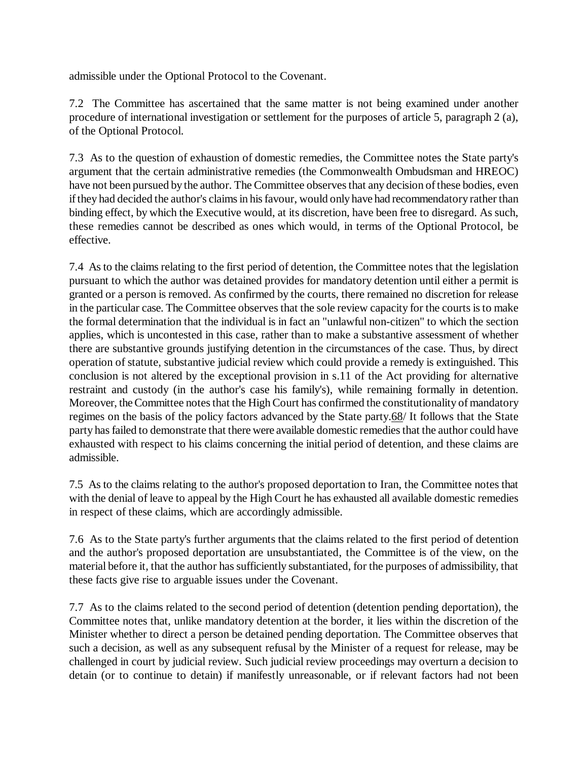admissible under the Optional Protocol to the Covenant.

7.2 The Committee has ascertained that the same matter is not being examined under another procedure of international investigation or settlement for the purposes of article 5, paragraph 2 (a), of the Optional Protocol.

7.3 As to the question of exhaustion of domestic remedies, the Committee notes the State party's argument that the certain administrative remedies (the Commonwealth Ombudsman and HREOC) have not been pursued by the author. The Committee observes that any decision of these bodies, even if they had decided the author's claims in his favour, would only have had recommendatory rather than binding effect, by which the Executive would, at its discretion, have been free to disregard. As such, these remedies cannot be described as ones which would, in terms of the Optional Protocol, be effective.

7.4 As to the claims relating to the first period of detention, the Committee notes that the legislation pursuant to which the author was detained provides for mandatory detention until either a permit is granted or a person is removed. As confirmed by the courts, there remained no discretion for release in the particular case. The Committee observes that the sole review capacity for the courts is to make the formal determination that the individual is in fact an "unlawful non-citizen" to which the section applies, which is uncontested in this case, rather than to make a substantive assessment of whether there are substantive grounds justifying detention in the circumstances of the case. Thus, by direct operation of statute, substantive judicial review which could provide a remedy is extinguished. This conclusion is not altered by the exceptional provision in s.11 of the Act providing for alternative restraint and custody (in the author's case his family's), while remaining formally in detention. Moreover, the Committee notes that the High Court has confirmed the constitutionality of mandatory regimes on the basis of the policy factors advanced by the State party.68/ It follows that the State party has failed to demonstrate that there were available domestic remedies that the author could have exhausted with respect to his claims concerning the initial period of detention, and these claims are admissible.

7.5 As to the claims relating to the author's proposed deportation to Iran, the Committee notes that with the denial of leave to appeal by the High Court he has exhausted all available domestic remedies in respect of these claims, which are accordingly admissible.

7.6 As to the State party's further arguments that the claims related to the first period of detention and the author's proposed deportation are unsubstantiated, the Committee is of the view, on the material before it, that the author has sufficiently substantiated, for the purposes of admissibility, that these facts give rise to arguable issues under the Covenant.

7.7 As to the claims related to the second period of detention (detention pending deportation), the Committee notes that, unlike mandatory detention at the border, it lies within the discretion of the Minister whether to direct a person be detained pending deportation. The Committee observes that such a decision, as well as any subsequent refusal by the Minister of a request for release, may be challenged in court by judicial review. Such judicial review proceedings may overturn a decision to detain (or to continue to detain) if manifestly unreasonable, or if relevant factors had not been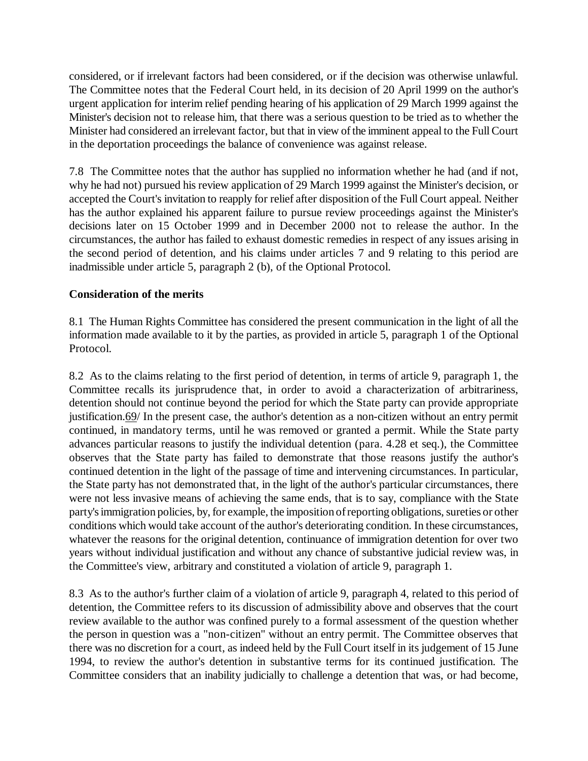considered, or if irrelevant factors had been considered, or if the decision was otherwise unlawful. The Committee notes that the Federal Court held, in its decision of 20 April 1999 on the author's urgent application for interim relief pending hearing of his application of 29 March 1999 against the Minister's decision not to release him, that there was a serious question to be tried as to whether the Minister had considered an irrelevant factor, but that in view of the imminent appeal to the Full Court in the deportation proceedings the balance of convenience was against release.

7.8 The Committee notes that the author has supplied no information whether he had (and if not, why he had not) pursued his review application of 29 March 1999 against the Minister's decision, or accepted the Court's invitation to reapply for relief after disposition of the Full Court appeal. Neither has the author explained his apparent failure to pursue review proceedings against the Minister's decisions later on 15 October 1999 and in December 2000 not to release the author. In the circumstances, the author has failed to exhaust domestic remedies in respect of any issues arising in the second period of detention, and his claims under articles 7 and 9 relating to this period are inadmissible under article 5, paragraph 2 (b), of the Optional Protocol.

#### **Consideration of the merits**

8.1 The Human Rights Committee has considered the present communication in the light of all the information made available to it by the parties, as provided in article 5, paragraph 1 of the Optional Protocol.

8.2 As to the claims relating to the first period of detention, in terms of article 9, paragraph 1, the Committee recalls its jurisprudence that, in order to avoid a characterization of arbitrariness, detention should not continue beyond the period for which the State party can provide appropriate justification.69/ In the present case, the author's detention as a non-citizen without an entry permit continued, in mandatory terms, until he was removed or granted a permit. While the State party advances particular reasons to justify the individual detention (para. 4.28 et seq.), the Committee observes that the State party has failed to demonstrate that those reasons justify the author's continued detention in the light of the passage of time and intervening circumstances. In particular, the State party has not demonstrated that, in the light of the author's particular circumstances, there were not less invasive means of achieving the same ends, that is to say, compliance with the State party's immigration policies, by, for example, the imposition of reporting obligations, sureties or other conditions which would take account of the author's deteriorating condition. In these circumstances, whatever the reasons for the original detention, continuance of immigration detention for over two years without individual justification and without any chance of substantive judicial review was, in the Committee's view, arbitrary and constituted a violation of article 9, paragraph 1.

8.3 As to the author's further claim of a violation of article 9, paragraph 4, related to this period of detention, the Committee refers to its discussion of admissibility above and observes that the court review available to the author was confined purely to a formal assessment of the question whether the person in question was a "non-citizen" without an entry permit. The Committee observes that there was no discretion for a court, as indeed held by the Full Court itself in its judgement of 15 June 1994, to review the author's detention in substantive terms for its continued justification. The Committee considers that an inability judicially to challenge a detention that was, or had become,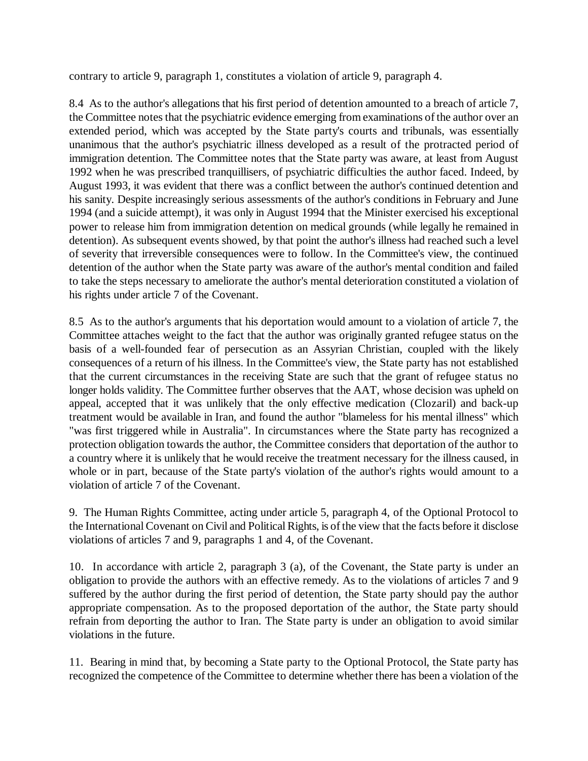contrary to article 9, paragraph 1, constitutes a violation of article 9, paragraph 4.

8.4 As to the author's allegations that his first period of detention amounted to a breach of article 7, the Committee notes that the psychiatric evidence emerging from examinations of the author over an extended period, which was accepted by the State party's courts and tribunals, was essentially unanimous that the author's psychiatric illness developed as a result of the protracted period of immigration detention. The Committee notes that the State party was aware, at least from August 1992 when he was prescribed tranquillisers, of psychiatric difficulties the author faced. Indeed, by August 1993, it was evident that there was a conflict between the author's continued detention and his sanity. Despite increasingly serious assessments of the author's conditions in February and June 1994 (and a suicide attempt), it was only in August 1994 that the Minister exercised his exceptional power to release him from immigration detention on medical grounds (while legally he remained in detention). As subsequent events showed, by that point the author's illness had reached such a level of severity that irreversible consequences were to follow. In the Committee's view, the continued detention of the author when the State party was aware of the author's mental condition and failed to take the steps necessary to ameliorate the author's mental deterioration constituted a violation of his rights under article 7 of the Covenant.

8.5 As to the author's arguments that his deportation would amount to a violation of article 7, the Committee attaches weight to the fact that the author was originally granted refugee status on the basis of a well-founded fear of persecution as an Assyrian Christian, coupled with the likely consequences of a return of his illness. In the Committee's view, the State party has not established that the current circumstances in the receiving State are such that the grant of refugee status no longer holds validity. The Committee further observes that the AAT, whose decision was upheld on appeal, accepted that it was unlikely that the only effective medication (Clozaril) and back-up treatment would be available in Iran, and found the author "blameless for his mental illness" which "was first triggered while in Australia". In circumstances where the State party has recognized a protection obligation towards the author, the Committee considers that deportation of the author to a country where it is unlikely that he would receive the treatment necessary for the illness caused, in whole or in part, because of the State party's violation of the author's rights would amount to a violation of article 7 of the Covenant.

9. The Human Rights Committee, acting under article 5, paragraph 4, of the Optional Protocol to the International Covenant on Civil and Political Rights, is of the view that the facts before it disclose violations of articles 7 and 9, paragraphs 1 and 4, of the Covenant.

10. In accordance with article 2, paragraph 3 (a), of the Covenant, the State party is under an obligation to provide the authors with an effective remedy. As to the violations of articles 7 and 9 suffered by the author during the first period of detention, the State party should pay the author appropriate compensation. As to the proposed deportation of the author, the State party should refrain from deporting the author to Iran. The State party is under an obligation to avoid similar violations in the future.

11. Bearing in mind that, by becoming a State party to the Optional Protocol, the State party has recognized the competence of the Committee to determine whether there has been a violation of the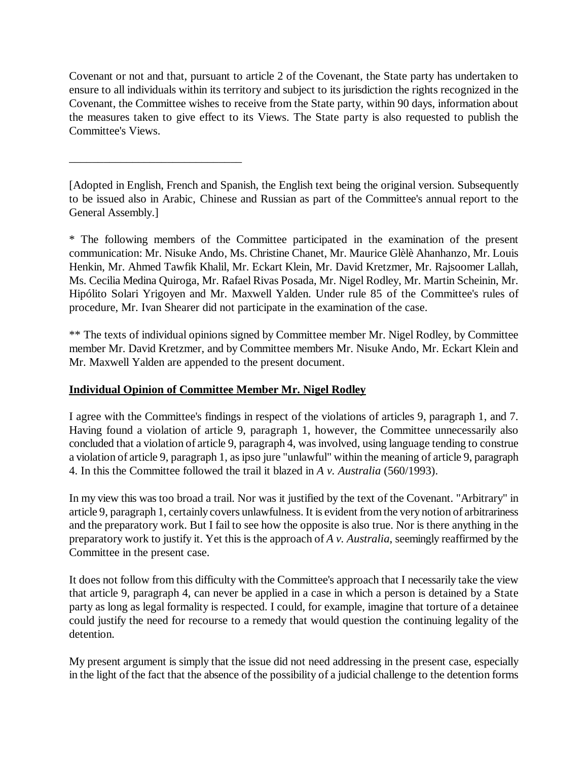Covenant or not and that, pursuant to article 2 of the Covenant, the State party has undertaken to ensure to all individuals within its territory and subject to its jurisdiction the rights recognized in the Covenant, the Committee wishes to receive from the State party, within 90 days, information about the measures taken to give effect to its Views. The State party is also requested to publish the Committee's Views.

[Adopted in English, French and Spanish, the English text being the original version. Subsequently to be issued also in Arabic, Chinese and Russian as part of the Committee's annual report to the General Assembly.]

\* The following members of the Committee participated in the examination of the present communication: Mr. Nisuke Ando, Ms. Christine Chanet, Mr. Maurice Glèlè Ahanhanzo, Mr. Louis Henkin, Mr. Ahmed Tawfik Khalil, Mr. Eckart Klein, Mr. David Kretzmer, Mr. Rajsoomer Lallah, Ms. Cecilia Medina Quiroga, Mr. Rafael Rivas Posada, Mr. Nigel Rodley, Mr. Martin Scheinin, Mr. Hipólito Solari Yrigoyen and Mr. Maxwell Yalden. Under rule 85 of the Committee's rules of procedure, Mr. Ivan Shearer did not participate in the examination of the case.

\*\* The texts of individual opinions signed by Committee member Mr. Nigel Rodley, by Committee member Mr. David Kretzmer, and by Committee members Mr. Nisuke Ando, Mr. Eckart Klein and Mr. Maxwell Yalden are appended to the present document.

### **Individual Opinion of Committee Member Mr. Nigel Rodley**

\_\_\_\_\_\_\_\_\_\_\_\_\_\_\_\_\_\_\_\_\_\_\_\_\_\_\_\_\_\_

I agree with the Committee's findings in respect of the violations of articles 9, paragraph 1, and 7. Having found a violation of article 9, paragraph 1, however, the Committee unnecessarily also concluded that a violation of article 9, paragraph 4, was involved, using language tending to construe a violation of article 9, paragraph 1, as ipso jure "unlawful" within the meaning of article 9, paragraph 4. In this the Committee followed the trail it blazed in *A v. Australia* (560/1993).

In my view this was too broad a trail. Nor was it justified by the text of the Covenant. "Arbitrary" in article 9, paragraph 1, certainly covers unlawfulness. It is evident from the very notion of arbitrariness and the preparatory work. But I fail to see how the opposite is also true. Nor is there anything in the preparatory work to justify it. Yet this is the approach of *A v. Australia*, seemingly reaffirmed by the Committee in the present case.

It does not follow from this difficulty with the Committee's approach that I necessarily take the view that article 9, paragraph 4, can never be applied in a case in which a person is detained by a State party as long as legal formality is respected. I could, for example, imagine that torture of a detainee could justify the need for recourse to a remedy that would question the continuing legality of the detention.

My present argument is simply that the issue did not need addressing in the present case, especially in the light of the fact that the absence of the possibility of a judicial challenge to the detention forms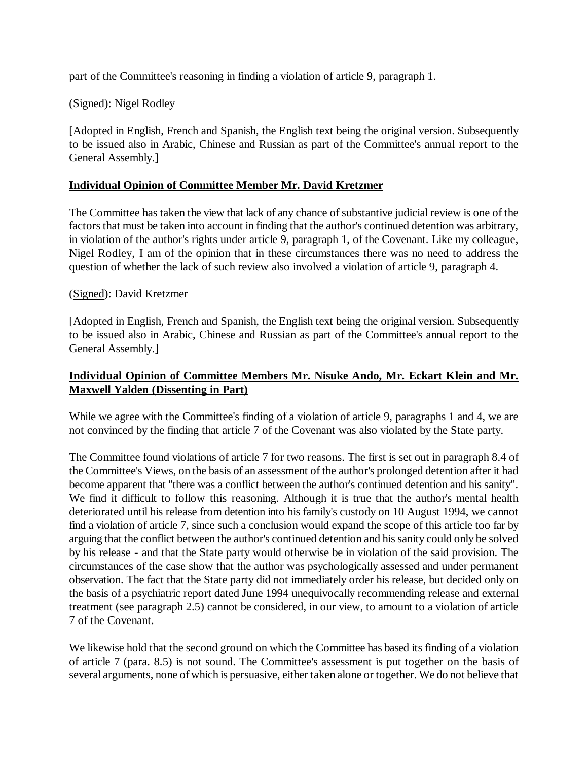part of the Committee's reasoning in finding a violation of article 9, paragraph 1.

(Signed): Nigel Rodley

[Adopted in English, French and Spanish, the English text being the original version. Subsequently to be issued also in Arabic, Chinese and Russian as part of the Committee's annual report to the General Assembly.]

#### **Individual Opinion of Committee Member Mr. David Kretzmer**

The Committee has taken the view that lack of any chance of substantive judicial review is one of the factors that must be taken into account in finding that the author's continued detention was arbitrary, in violation of the author's rights under article 9, paragraph 1, of the Covenant. Like my colleague, Nigel Rodley, I am of the opinion that in these circumstances there was no need to address the question of whether the lack of such review also involved a violation of article 9, paragraph 4.

#### (Signed): David Kretzmer

[Adopted in English, French and Spanish, the English text being the original version. Subsequently to be issued also in Arabic, Chinese and Russian as part of the Committee's annual report to the General Assembly.]

## **Individual Opinion of Committee Members Mr. Nisuke Ando, Mr. Eckart Klein and Mr. Maxwell Yalden (Dissenting in Part)**

While we agree with the Committee's finding of a violation of article 9, paragraphs 1 and 4, we are not convinced by the finding that article 7 of the Covenant was also violated by the State party.

The Committee found violations of article 7 for two reasons. The first is set out in paragraph 8.4 of the Committee's Views, on the basis of an assessment of the author's prolonged detention after it had become apparent that "there was a conflict between the author's continued detention and his sanity". We find it difficult to follow this reasoning. Although it is true that the author's mental health deteriorated until his release from detention into his family's custody on 10 August 1994, we cannot find a violation of article 7, since such a conclusion would expand the scope of this article too far by arguing that the conflict between the author's continued detention and his sanity could only be solved by his release - and that the State party would otherwise be in violation of the said provision. The circumstances of the case show that the author was psychologically assessed and under permanent observation. The fact that the State party did not immediately order his release, but decided only on the basis of a psychiatric report dated June 1994 unequivocally recommending release and external treatment (see paragraph 2.5) cannot be considered, in our view, to amount to a violation of article 7 of the Covenant.

We likewise hold that the second ground on which the Committee has based its finding of a violation of article 7 (para. 8.5) is not sound. The Committee's assessment is put together on the basis of several arguments, none of which is persuasive, either taken alone or together. We do not believe that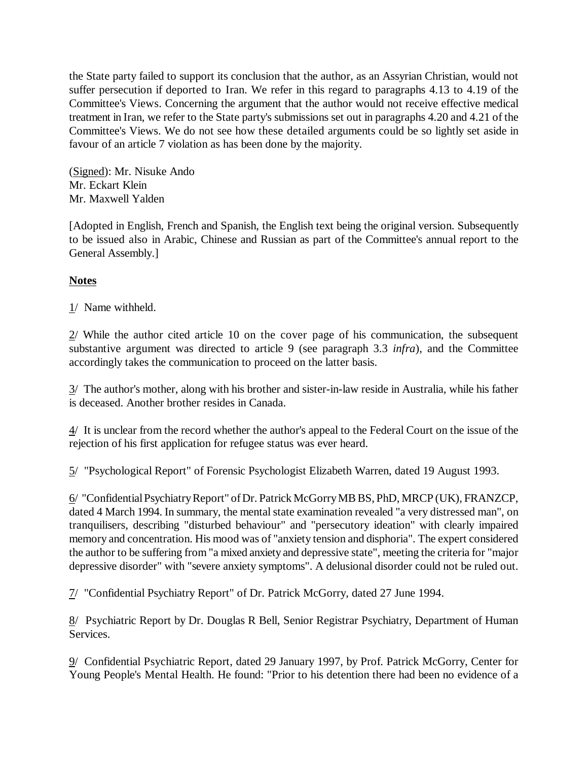the State party failed to support its conclusion that the author, as an Assyrian Christian, would not suffer persecution if deported to Iran. We refer in this regard to paragraphs 4.13 to 4.19 of the Committee's Views. Concerning the argument that the author would not receive effective medical treatment in Iran, we refer to the State party's submissions set out in paragraphs 4.20 and 4.21 of the Committee's Views. We do not see how these detailed arguments could be so lightly set aside in favour of an article 7 violation as has been done by the majority.

(Signed): Mr. Nisuke Ando Mr. Eckart Klein Mr. Maxwell Yalden

[Adopted in English, French and Spanish, the English text being the original version. Subsequently to be issued also in Arabic, Chinese and Russian as part of the Committee's annual report to the General Assembly.]

## **Notes**

1/ Name withheld.

 $2$ / While the author cited article 10 on the cover page of his communication, the subsequent substantive argument was directed to article 9 (see paragraph 3.3 *infra*), and the Committee accordingly takes the communication to proceed on the latter basis.

3/ The author's mother, along with his brother and sister-in-law reside in Australia, while his father is deceased. Another brother resides in Canada.

 $4/$  It is unclear from the record whether the author's appeal to the Federal Court on the issue of the rejection of his first application for refugee status was ever heard.

5/ "Psychological Report" of Forensic Psychologist Elizabeth Warren, dated 19 August 1993.

6/ "Confidential Psychiatry Report" of Dr. Patrick McGorry MB BS, PhD, MRCP (UK), FRANZCP, dated 4 March 1994. In summary, the mental state examination revealed "a very distressed man", on tranquilisers, describing "disturbed behaviour" and "persecutory ideation" with clearly impaired memory and concentration. His mood was of "anxiety tension and disphoria". The expert considered the author to be suffering from "a mixed anxiety and depressive state", meeting the criteria for "major depressive disorder" with "severe anxiety symptoms". A delusional disorder could not be ruled out.

7/ "Confidential Psychiatry Report" of Dr. Patrick McGorry, dated 27 June 1994.

8/ Psychiatric Report by Dr. Douglas R Bell, Senior Registrar Psychiatry, Department of Human Services.

9/ Confidential Psychiatric Report, dated 29 January 1997, by Prof. Patrick McGorry, Center for Young People's Mental Health. He found: "Prior to his detention there had been no evidence of a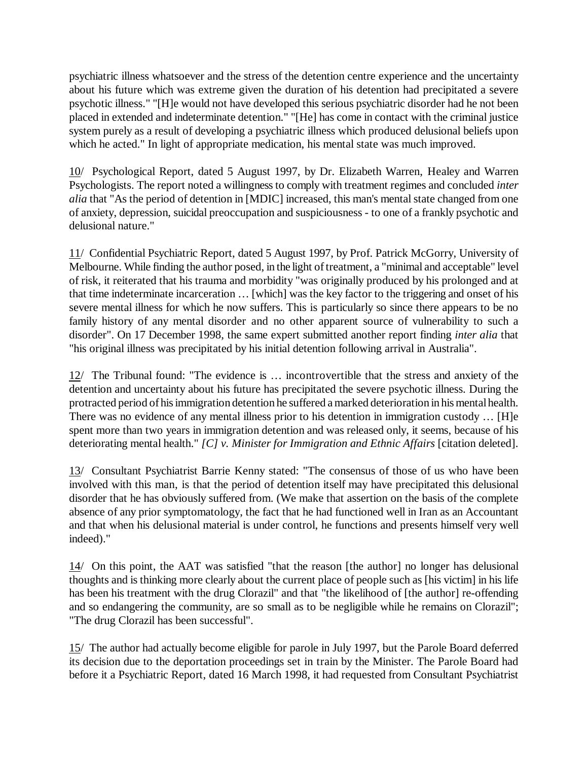psychiatric illness whatsoever and the stress of the detention centre experience and the uncertainty about his future which was extreme given the duration of his detention had precipitated a severe psychotic illness." "[H]e would not have developed this serious psychiatric disorder had he not been placed in extended and indeterminate detention." "[He] has come in contact with the criminal justice system purely as a result of developing a psychiatric illness which produced delusional beliefs upon which he acted." In light of appropriate medication, his mental state was much improved.

10/ Psychological Report, dated 5 August 1997, by Dr. Elizabeth Warren, Healey and Warren Psychologists. The report noted a willingness to comply with treatment regimes and concluded *inter alia* that "As the period of detention in [MDIC] increased, this man's mental state changed from one of anxiety, depression, suicidal preoccupation and suspiciousness - to one of a frankly psychotic and delusional nature."

11/ Confidential Psychiatric Report, dated 5 August 1997, by Prof. Patrick McGorry, University of Melbourne. While finding the author posed, in the light of treatment, a "minimal and acceptable" level of risk, it reiterated that his trauma and morbidity "was originally produced by his prolonged and at that time indeterminate incarceration … [which] was the key factor to the triggering and onset of his severe mental illness for which he now suffers. This is particularly so since there appears to be no family history of any mental disorder and no other apparent source of vulnerability to such a disorder". On 17 December 1998, the same expert submitted another report finding *inter alia* that "his original illness was precipitated by his initial detention following arrival in Australia".

12/ The Tribunal found: "The evidence is … incontrovertible that the stress and anxiety of the detention and uncertainty about his future has precipitated the severe psychotic illness. During the protracted period of his immigration detention he suffered a marked deterioration in his mental health. There was no evidence of any mental illness prior to his detention in immigration custody … [H]e spent more than two years in immigration detention and was released only, it seems, because of his deteriorating mental health." *[C] v. Minister for Immigration and Ethnic Affairs* [citation deleted].

13/ Consultant Psychiatrist Barrie Kenny stated: "The consensus of those of us who have been involved with this man, is that the period of detention itself may have precipitated this delusional disorder that he has obviously suffered from. (We make that assertion on the basis of the complete absence of any prior symptomatology, the fact that he had functioned well in Iran as an Accountant and that when his delusional material is under control, he functions and presents himself very well indeed)."

14/ On this point, the AAT was satisfied "that the reason [the author] no longer has delusional thoughts and is thinking more clearly about the current place of people such as [his victim] in his life has been his treatment with the drug Clorazil" and that "the likelihood of [the author] re-offending and so endangering the community, are so small as to be negligible while he remains on Clorazil"; "The drug Clorazil has been successful".

15/ The author had actually become eligible for parole in July 1997, but the Parole Board deferred its decision due to the deportation proceedings set in train by the Minister. The Parole Board had before it a Psychiatric Report, dated 16 March 1998, it had requested from Consultant Psychiatrist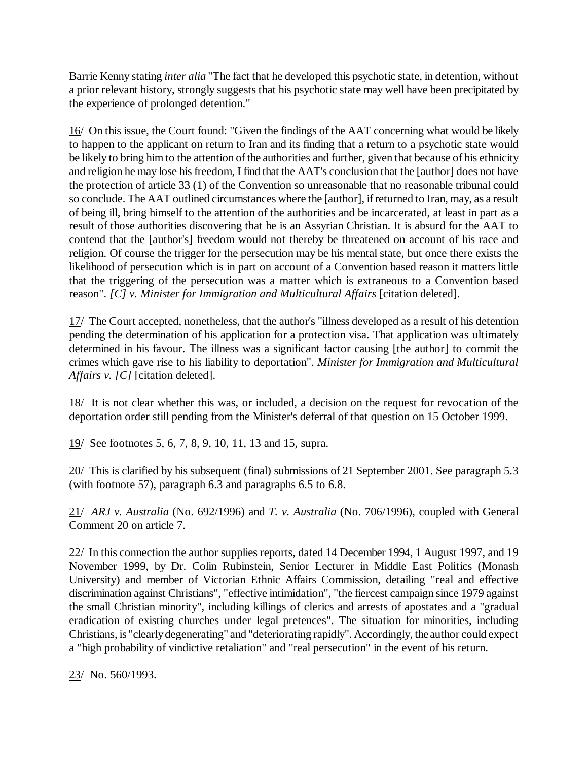Barrie Kenny stating *inter alia* "The fact that he developed this psychotic state, in detention, without a prior relevant history, strongly suggests that his psychotic state may well have been precipitated by the experience of prolonged detention."

16/ On this issue, the Court found: "Given the findings of the AAT concerning what would be likely to happen to the applicant on return to Iran and its finding that a return to a psychotic state would be likely to bring him to the attention of the authorities and further, given that because of his ethnicity and religion he may lose his freedom, I find that the AAT's conclusion that the [author] does not have the protection of article 33 (1) of the Convention so unreasonable that no reasonable tribunal could so conclude. The AAT outlined circumstances where the [author], if returned to Iran, may, as a result of being ill, bring himself to the attention of the authorities and be incarcerated, at least in part as a result of those authorities discovering that he is an Assyrian Christian. It is absurd for the AAT to contend that the [author's] freedom would not thereby be threatened on account of his race and religion. Of course the trigger for the persecution may be his mental state, but once there exists the likelihood of persecution which is in part on account of a Convention based reason it matters little that the triggering of the persecution was a matter which is extraneous to a Convention based reason". *[C] v. Minister for Immigration and Multicultural Affairs* [citation deleted].

17/ The Court accepted, nonetheless, that the author's "illness developed as a result of his detention pending the determination of his application for a protection visa. That application was ultimately determined in his favour. The illness was a significant factor causing [the author] to commit the crimes which gave rise to his liability to deportation". *Minister for Immigration and Multicultural Affairs v. [C]* [citation deleted].

18/ It is not clear whether this was, or included, a decision on the request for revocation of the deportation order still pending from the Minister's deferral of that question on 15 October 1999.

19/ See footnotes 5, 6, 7, 8, 9, 10, 11, 13 and 15, supra.

20/ This is clarified by his subsequent (final) submissions of 21 September 2001. See paragraph 5.3 (with footnote 57), paragraph 6.3 and paragraphs 6.5 to 6.8.

21/ *ARJ v. Australia* (No. 692/1996) and *T. v. Australia* (No. 706/1996), coupled with General Comment 20 on article 7.

22/ In this connection the author supplies reports, dated 14 December 1994, 1 August 1997, and 19 November 1999, by Dr. Colin Rubinstein, Senior Lecturer in Middle East Politics (Monash University) and member of Victorian Ethnic Affairs Commission, detailing "real and effective discrimination against Christians", "effective intimidation", "the fiercest campaign since 1979 against the small Christian minority", including killings of clerics and arrests of apostates and a "gradual eradication of existing churches under legal pretences". The situation for minorities, including Christians, is "clearly degenerating" and "deteriorating rapidly". Accordingly, the author could expect a "high probability of vindictive retaliation" and "real persecution" in the event of his return.

23/ No. 560/1993.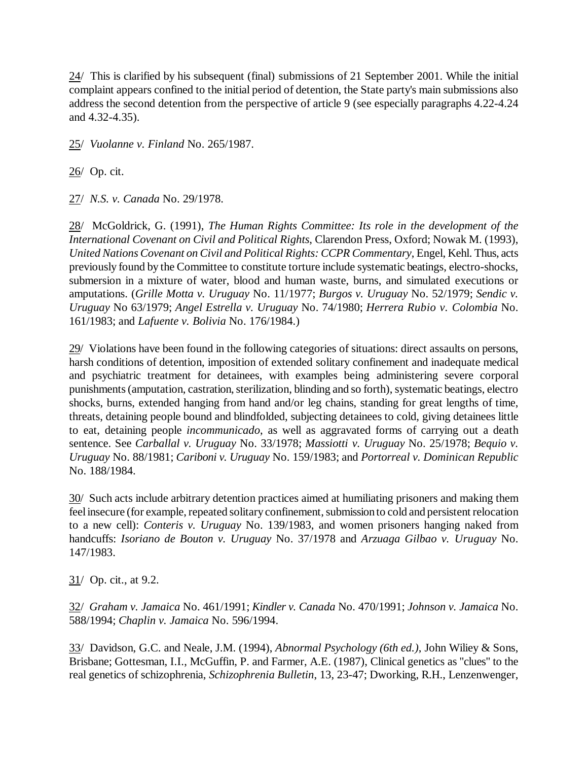24/ This is clarified by his subsequent (final) submissions of 21 September 2001. While the initial complaint appears confined to the initial period of detention, the State party's main submissions also address the second detention from the perspective of article 9 (see especially paragraphs 4.22-4.24 and 4.32-4.35).

25/ *Vuolanne v. Finland* No. 265/1987.

26/ Op. cit.

27/ *N.S. v. Canada* No. 29/1978.

28/ McGoldrick, G. (1991), *The Human Rights Committee: Its role in the development of the International Covenant on Civil and Political Rights*, Clarendon Press, Oxford; Nowak M. (1993), *United Nations Covenant on Civil and Political Rights: CCPR Commentary*, Engel, Kehl. Thus, acts previously found by the Committee to constitute torture include systematic beatings, electro-shocks, submersion in a mixture of water, blood and human waste, burns, and simulated executions or amputations. (*Grille Motta v. Uruguay* No. 11/1977; *Burgos v. Uruguay* No. 52/1979; *Sendic v. Uruguay* No 63/1979; *Angel Estrella v. Uruguay* No. 74/1980; *Herrera Rubio v. Colombia* No. 161/1983; and *Lafuente v. Bolivia* No. 176/1984.)

29/ Violations have been found in the following categories of situations: direct assaults on persons, harsh conditions of detention, imposition of extended solitary confinement and inadequate medical and psychiatric treatment for detainees, with examples being administering severe corporal punishments (amputation, castration, sterilization, blinding and so forth), systematic beatings, electro shocks, burns, extended hanging from hand and/or leg chains, standing for great lengths of time, threats, detaining people bound and blindfolded, subjecting detainees to cold, giving detainees little to eat, detaining people *incommunicado*, as well as aggravated forms of carrying out a death sentence. See *Carballal v. Uruguay* No. 33/1978; *Massiotti v. Uruguay* No. 25/1978; *Bequio v. Uruguay* No. 88/1981; *Cariboni v. Uruguay* No. 159/1983; and *Portorreal v. Dominican Republic* No. 188/1984.

30/ Such acts include arbitrary detention practices aimed at humiliating prisoners and making them feel insecure (for example, repeated solitary confinement, submission to cold and persistent relocation to a new cell): *Conteris v. Uruguay* No. 139/1983, and women prisoners hanging naked from handcuffs: *Isoriano de Bouton v. Uruguay* No. 37/1978 and *Arzuaga Gilbao v. Uruguay* No. 147/1983.

31/ Op. cit., at 9.2.

32/ *Graham v. Jamaica* No. 461/1991; *Kindler v. Canada* No. 470/1991; *Johnson v. Jamaica* No. 588/1994; *Chaplin v. Jamaica* No. 596/1994.

33/ Davidson, G.C. and Neale, J.M. (1994), *Abnormal Psychology (6th ed.)*, John Wiliey & Sons, Brisbane; Gottesman, I.I., McGuffin, P. and Farmer, A.E. (1987), Clinical genetics as "clues" to the real genetics of schizophrenia, *Schizophrenia Bulletin*, 13, 23-47; Dworking, R.H., Lenzenwenger,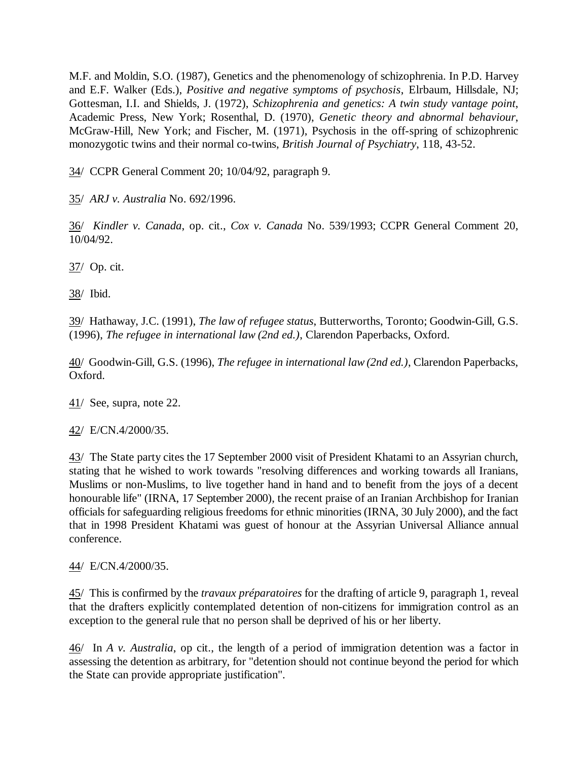M.F. and Moldin, S.O. (1987), Genetics and the phenomenology of schizophrenia. In P.D. Harvey and E.F. Walker (Eds.), *Positive and negative symptoms of psychosis*, Elrbaum, Hillsdale, NJ; Gottesman, I.I. and Shields, J. (1972), *Schizophrenia and genetics: A twin study vantage point*, Academic Press, New York; Rosenthal, D. (1970), *Genetic theory and abnormal behaviour*, McGraw-Hill, New York; and Fischer, M. (1971), Psychosis in the off-spring of schizophrenic monozygotic twins and their normal co-twins, *British Journal of Psychiatry*, 118, 43-52.

34/ CCPR General Comment 20; 10/04/92, paragraph 9.

35/ *ARJ v. Australia* No. 692/1996.

36/ *Kindler v. Canada*, op. cit., *Cox v. Canada* No. 539/1993; CCPR General Comment 20, 10/04/92.

37/ Op. cit.

38/ Ibid.

39/ Hathaway, J.C. (1991), *The law of refugee status*, Butterworths, Toronto; Goodwin-Gill, G.S. (1996), *The refugee in international law (2nd ed.)*, Clarendon Paperbacks, Oxford.

40/ Goodwin-Gill, G.S. (1996), *The refugee in international law (2nd ed.)*, Clarendon Paperbacks, Oxford.

41/ See, supra, note 22.

42/ E/CN.4/2000/35.

43/ The State party cites the 17 September 2000 visit of President Khatami to an Assyrian church, stating that he wished to work towards "resolving differences and working towards all Iranians, Muslims or non-Muslims, to live together hand in hand and to benefit from the joys of a decent honourable life" (IRNA, 17 September 2000), the recent praise of an Iranian Archbishop for Iranian officials for safeguarding religious freedoms for ethnic minorities (IRNA, 30 July 2000), and the fact that in 1998 President Khatami was guest of honour at the Assyrian Universal Alliance annual conference.

44/ E/CN.4/2000/35.

45/ This is confirmed by the *travaux préparatoires* for the drafting of article 9, paragraph 1, reveal that the drafters explicitly contemplated detention of non-citizens for immigration control as an exception to the general rule that no person shall be deprived of his or her liberty.

46/ In *A v. Australia*, op cit., the length of a period of immigration detention was a factor in assessing the detention as arbitrary, for "detention should not continue beyond the period for which the State can provide appropriate justification".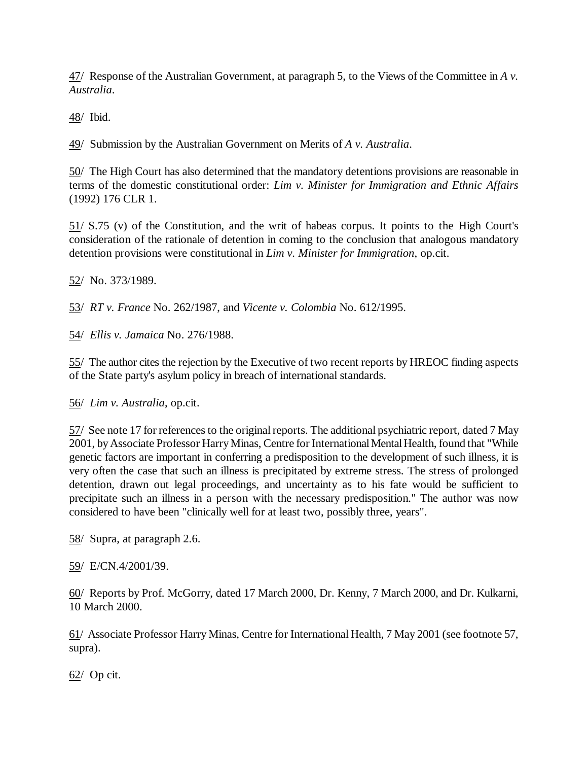47/ Response of the Australian Government, at paragraph 5, to the Views of the Committee in *A v. Australia*.

48/ Ibid.

49/ Submission by the Australian Government on Merits of *A v. Australia*.

50/ The High Court has also determined that the mandatory detentions provisions are reasonable in terms of the domestic constitutional order: *Lim v. Minister for Immigration and Ethnic Affairs* (1992) 176 CLR 1.

51/ S.75 (v) of the Constitution, and the writ of habeas corpus. It points to the High Court's consideration of the rationale of detention in coming to the conclusion that analogous mandatory detention provisions were constitutional in *Lim v. Minister for Immigration*, op.cit.

52/ No. 373/1989.

53/ *RT v. France* No. 262/1987, and *Vicente v. Colombia* No. 612/1995.

54/ *Ellis v. Jamaica* No. 276/1988.

55/ The author cites the rejection by the Executive of two recent reports by HREOC finding aspects of the State party's asylum policy in breach of international standards.

56/ *Lim v. Australia*, op.cit.

57/ See note 17 for references to the original reports. The additional psychiatric report, dated 7 May 2001, by Associate Professor Harry Minas, Centre for International Mental Health, found that "While genetic factors are important in conferring a predisposition to the development of such illness, it is very often the case that such an illness is precipitated by extreme stress. The stress of prolonged detention, drawn out legal proceedings, and uncertainty as to his fate would be sufficient to precipitate such an illness in a person with the necessary predisposition." The author was now considered to have been "clinically well for at least two, possibly three, years".

58/ Supra, at paragraph 2.6.

59/ E/CN.4/2001/39.

60/ Reports by Prof. McGorry, dated 17 March 2000, Dr. Kenny, 7 March 2000, and Dr. Kulkarni, 10 March 2000.

61/ Associate Professor Harry Minas, Centre for International Health, 7 May 2001 (see footnote 57, supra).

62/ Op cit.